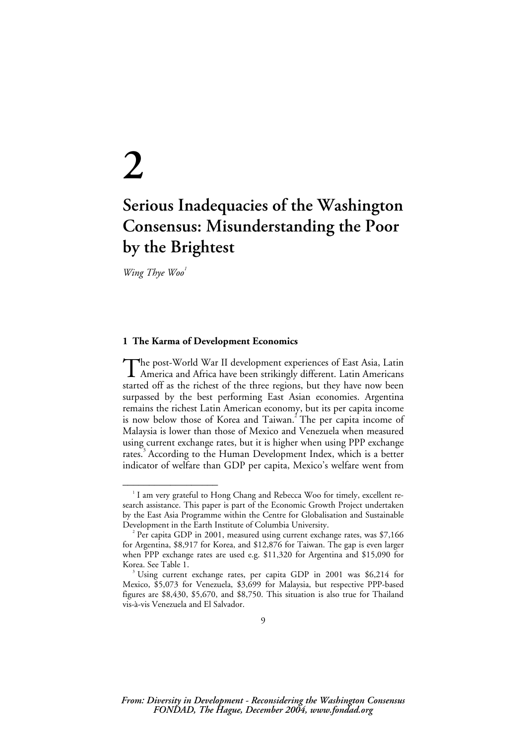# **2**

# **Serious Inadequacies of the Washington Consensus: Misunderstanding the Poor by the Brightest**

Wing Thye Woo<sup>1</sup>

––––––––––––––––––

#### **1 The Karma of Development Economics**

he post-World War II development experiences of East Asia, Latin The post-World War II development experiences of East Asia, Latin America and Africa have been strikingly different. Latin Americans started off as the richest of the three regions, but they have now been surpassed by the best performing East Asian economies. Argentina remains the richest Latin American economy, but its per capita income is now below those of Korea and Taiwan.<sup>2</sup> The per capita income of Malaysia is lower than those of Mexico and Venezuela when measured using current exchange rates, but it is higher when using PPP exchange rates.<sup>3</sup> According to the Human Development Index, which is a better indicator of welfare than GDP per capita, Mexico's welfare went from

 $^{\textrm{\tiny{1}}}$  I am very grateful to Hong Chang and Rebecca Woo for timely, excellent research assistance. This paper is part of the Economic Growth Project undertaken by the East Asia Programme within the Centre for Globalisation and Sustainable Development in the Earth Institute of Columbia University. 2

Per capita GDP in 2001, measured using current exchange rates, was \$7,166 for Argentina, \$8,917 for Korea, and \$12,876 for Taiwan. The gap is even larger when PPP exchange rates are used e.g. \$11,320 for Argentina and \$15,090 for Korea. See Table 1.

 $3$  Using current exchange rates, per capita GDP in 2001 was \$6,214 for Mexico, \$5,073 for Venezuela, \$3,699 for Malaysia, but respective PPP-based figures are \$8,430, \$5,670, and \$8,750. This situation is also true for Thailand vis-à-vis Venezuela and El Salvador.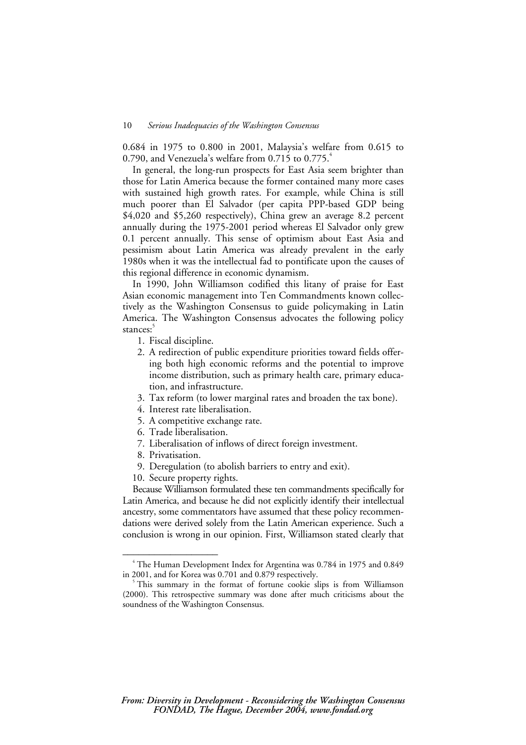0.684 in 1975 to 0.800 in 2001, Malaysia's welfare from 0.615 to 0.790, and Venezuela's welfare from  $0.715$  to  $0.775$ .<sup>4</sup>

In general, the long-run prospects for East Asia seem brighter than those for Latin America because the former contained many more cases with sustained high growth rates. For example, while China is still much poorer than El Salvador (per capita PPP-based GDP being \$4,020 and \$5,260 respectively), China grew an average 8.2 percent annually during the 1975-2001 period whereas El Salvador only grew 0.1 percent annually. This sense of optimism about East Asia and pessimism about Latin America was already prevalent in the early 1980s when it was the intellectual fad to pontificate upon the causes of this regional difference in economic dynamism.

In 1990, John Williamson codified this litany of praise for East Asian economic management into Ten Commandments known collectively as the Washington Consensus to guide policymaking in Latin America. The Washington Consensus advocates the following policy stances:

- 1. Fiscal discipline.
- 2. A redirection of public expenditure priorities toward fields offering both high economic reforms and the potential to improve income distribution, such as primary health care, primary education, and infrastructure.
- 3. Tax reform (to lower marginal rates and broaden the tax bone).
- 4. Interest rate liberalisation.
- 5. A competitive exchange rate.
- 6. Trade liberalisation.
- 7. Liberalisation of inflows of direct foreign investment.
- 8. Privatisation.

––––––––––––––––––

- 9. Deregulation (to abolish barriers to entry and exit).
- 10. Secure property rights.

Because Williamson formulated these ten commandments specifically for Latin America, and because he did not explicitly identify their intellectual ancestry, some commentators have assumed that these policy recommendations were derived solely from the Latin American experience. Such a conclusion is wrong in our opinion. First, Williamson stated clearly that

<sup>4</sup> The Human Development Index for Argentina was 0.784 in 1975 and 0.849 in 2001, and for Korea was 0.701 and 0.879 respectively.

<sup>&</sup>lt;sup>5</sup> This summary in the format of fortune cookie slips is from Williamson (2000). This retrospective summary was done after much criticisms about the soundness of the Washington Consensus.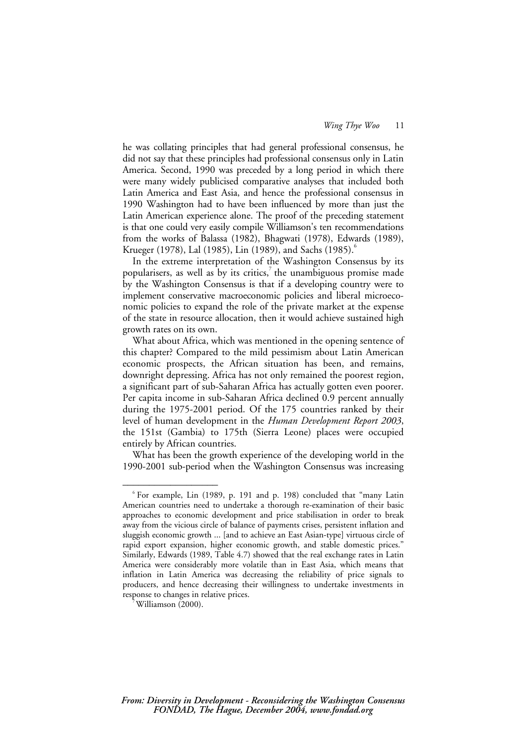he was collating principles that had general professional consensus, he did not say that these principles had professional consensus only in Latin America. Second, 1990 was preceded by a long period in which there were many widely publicised comparative analyses that included both Latin America and East Asia, and hence the professional consensus in 1990 Washington had to have been influenced by more than just the Latin American experience alone. The proof of the preceding statement is that one could very easily compile Williamson's ten recommendations from the works of Balassa (1982), Bhagwati (1978), Edwards (1989), Krueger (1978), Lal (1985), Lin (1989), and Sachs (1985).<sup>6</sup>

In the extreme interpretation of the Washington Consensus by its popularisers, as well as by its critics, $\bar{y}$  the unambiguous promise made by the Washington Consensus is that if a developing country were to implement conservative macroeconomic policies and liberal microeconomic policies to expand the role of the private market at the expense of the state in resource allocation, then it would achieve sustained high growth rates on its own.

What about Africa, which was mentioned in the opening sentence of this chapter? Compared to the mild pessimism about Latin American economic prospects, the African situation has been, and remains, downright depressing. Africa has not only remained the poorest region, a significant part of sub-Saharan Africa has actually gotten even poorer. Per capita income in sub-Saharan Africa declined 0.9 percent annually during the 1975-2001 period. Of the 175 countries ranked by their level of human development in the *Human Development Report 2003*, the 151st (Gambia) to 175th (Sierra Leone) places were occupied entirely by African countries.

What has been the growth experience of the developing world in the 1990-2001 sub-period when the Washington Consensus was increasing

<sup>6</sup> For example, Lin (1989, p. 191 and p. 198) concluded that "many Latin American countries need to undertake a thorough re-examination of their basic approaches to economic development and price stabilisation in order to break away from the vicious circle of balance of payments crises, persistent inflation and sluggish economic growth ... [and to achieve an East Asian-type] virtuous circle of rapid export expansion, higher economic growth, and stable domestic prices." Similarly, Edwards (1989, Table 4.7) showed that the real exchange rates in Latin America were considerably more volatile than in East Asia, which means that inflation in Latin America was decreasing the reliability of price signals to producers, and hence decreasing their willingness to undertake investments in response to changes in relative prices.

<sup>7</sup> Williamson (2000).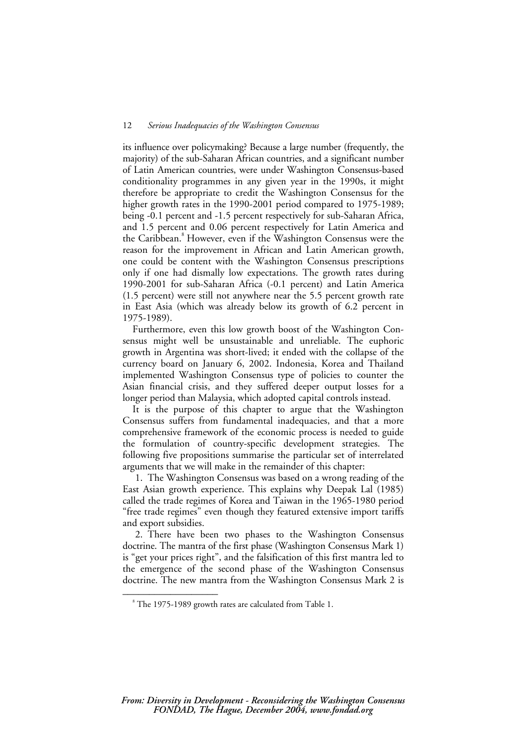its influence over policymaking? Because a large number (frequently, the majority) of the sub-Saharan African countries, and a significant number of Latin American countries, were under Washington Consensus-based conditionality programmes in any given year in the 1990s, it might therefore be appropriate to credit the Washington Consensus for the higher growth rates in the 1990-2001 period compared to 1975-1989; being -0.1 percent and -1.5 percent respectively for sub-Saharan Africa, and 1.5 percent and 0.06 percent respectively for Latin America and the Caribbean.<sup>8</sup> However, even if the Washington Consensus were the reason for the improvement in African and Latin American growth, one could be content with the Washington Consensus prescriptions only if one had dismally low expectations. The growth rates during 1990-2001 for sub-Saharan Africa (-0.1 percent) and Latin America (1.5 percent) were still not anywhere near the 5.5 percent growth rate in East Asia (which was already below its growth of 6.2 percent in 1975-1989).

Furthermore, even this low growth boost of the Washington Consensus might well be unsustainable and unreliable. The euphoric growth in Argentina was short-lived; it ended with the collapse of the currency board on January 6, 2002. Indonesia, Korea and Thailand implemented Washington Consensus type of policies to counter the Asian financial crisis, and they suffered deeper output losses for a longer period than Malaysia, which adopted capital controls instead.

It is the purpose of this chapter to argue that the Washington Consensus suffers from fundamental inadequacies, and that a more comprehensive framework of the economic process is needed to guide the formulation of country-specific development strategies. The following five propositions summarise the particular set of interrelated arguments that we will make in the remainder of this chapter:

1. The Washington Consensus was based on a wrong reading of the East Asian growth experience. This explains why Deepak Lal (1985) called the trade regimes of Korea and Taiwan in the 1965-1980 period "free trade regimes" even though they featured extensive import tariffs and export subsidies.

2. There have been two phases to the Washington Consensus doctrine. The mantra of the first phase (Washington Consensus Mark 1) is "get your prices right", and the falsification of this first mantra led to the emergence of the second phase of the Washington Consensus doctrine. The new mantra from the Washington Consensus Mark 2 is

<sup>&</sup>lt;sup>8</sup> The 1975-1989 growth rates are calculated from Table 1.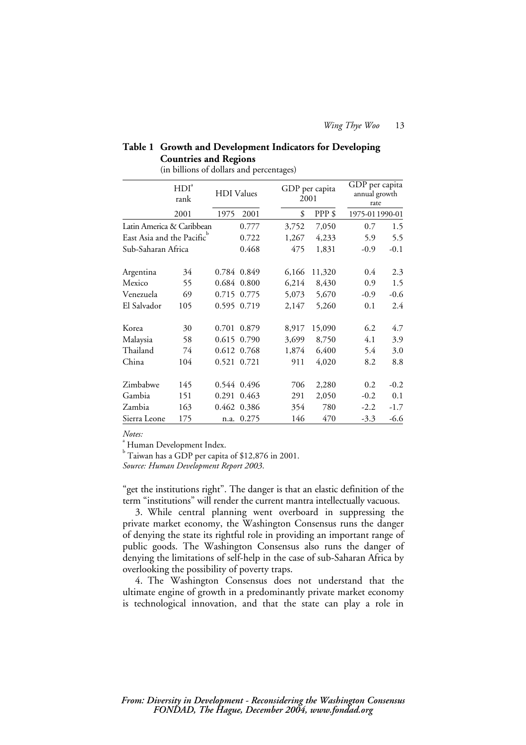# **Table 1 Growth and Development Indicators for Developing Countries and Regions**

(in billions of dollars and percentages)

|                           | HDI <sup>a</sup><br>rank |       | <b>HDI</b> Values |       | GDP per capita<br>2001 |        |                 | GDP per capita<br>annual growth<br>rate |  |
|---------------------------|--------------------------|-------|-------------------|-------|------------------------|--------|-----------------|-----------------------------------------|--|
|                           | 2001                     | 1975  | 2001              |       | \$                     | PPP\$  | 1975-01 1990-01 |                                         |  |
| Latin America & Caribbean |                          | 0.777 |                   | 3,752 | 7,050                  | 0.7    | 1.5             |                                         |  |
| East Asia and the Pacific |                          |       | 0.722             |       | 1,267                  | 4,233  | 5.9             | 5.5                                     |  |
| Sub-Saharan Africa        |                          |       | 0.468             |       | 475                    | 1,831  | $-0.9$          | $-0.1$                                  |  |
| Argentina                 | 34                       |       | 0.784 0.849       |       | 6,166                  | 11,320 | $0.4\,$         | 2.3                                     |  |
| Mexico                    | 55                       |       | 0.684 0.800       |       | 6,214                  | 8,430  | 0.9             | 1.5                                     |  |
| Venezuela                 | 69                       |       | 0.715 0.775       |       | 5,073                  | 5,670  | $-0.9$          | $-0.6$                                  |  |
| El Salvador               | 105                      |       | 0.595 0.719       |       | 2,147                  | 5,260  | 0.1             | 2.4                                     |  |
| Korea                     | 30                       | 0.701 | 0.879             |       | 8,917                  | 15,090 | 6.2             | 4.7                                     |  |
| Malaysia                  | 58                       | 0.615 | 0.790             |       | 3,699                  | 8,750  | 4.1             | 3.9                                     |  |
| Thailand                  | 74                       |       | 0.612 0.768       |       | 1,874                  | 6,400  | 5.4             | 3.0                                     |  |
| China                     | 104                      |       | 0.521 0.721       |       | 911                    | 4,020  | 8.2             | 8.8                                     |  |
| Zimbabwe                  | 145                      |       | 0.544 0.496       |       | 706                    | 2,280  | 0.2             | $-0.2$                                  |  |
| Gambia                    | 151                      | 0.291 | 0.463             |       | 291                    | 2,050  | $-0.2$          | 0.1                                     |  |
| Zambia                    | 163                      |       | 0.462 0.386       |       | 354                    | 780    | $-2.2$          | $-1.7$                                  |  |
| Sierra Leone              | 175                      | n.a.  | 0.275             |       | 146                    | 470    | $-3.3$          | $-6.6$                                  |  |

 $Notes:$ 

<sup>a</sup> Human Development Index.

 $b$  Taiwan has a GDP per capita of \$12,876 in 2001.

*Source: Human Development Report 2003*.

"get the institutions right". The danger is that an elastic definition of the term "institutions" will render the current mantra intellectually vacuous.

3. While central planning went overboard in suppressing the private market economy, the Washington Consensus runs the danger of denying the state its rightful role in providing an important range of public goods. The Washington Consensus also runs the danger of denying the limitations of self-help in the case of sub-Saharan Africa by overlooking the possibility of poverty traps.

4. The Washington Consensus does not understand that the ultimate engine of growth in a predominantly private market economy is technological innovation, and that the state can play a role in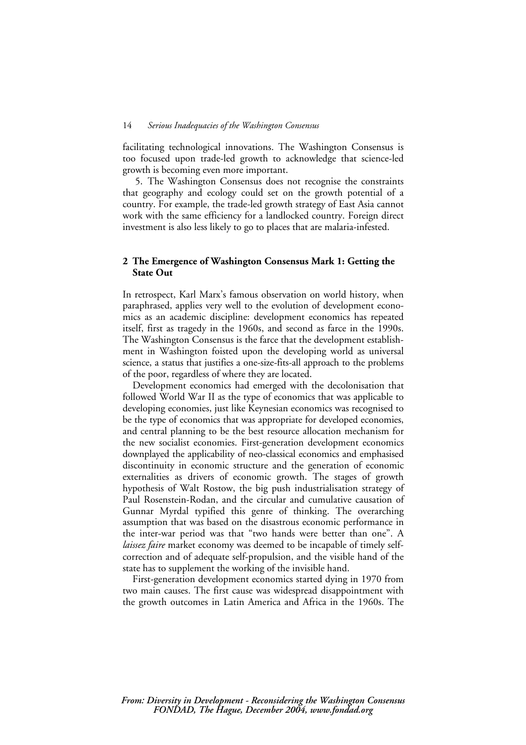facilitating technological innovations. The Washington Consensus is too focused upon trade-led growth to acknowledge that science-led growth is becoming even more important.

5. The Washington Consensus does not recognise the constraints that geography and ecology could set on the growth potential of a country. For example, the trade-led growth strategy of East Asia cannot work with the same efficiency for a landlocked country. Foreign direct investment is also less likely to go to places that are malaria-infested.

### **2 The Emergence of Washington Consensus Mark 1: Getting the State Out**

In retrospect, Karl Marx's famous observation on world history, when paraphrased, applies very well to the evolution of development economics as an academic discipline: development economics has repeated itself, first as tragedy in the 1960s, and second as farce in the 1990s. The Washington Consensus is the farce that the development establishment in Washington foisted upon the developing world as universal science, a status that justifies a one-size-fits-all approach to the problems of the poor, regardless of where they are located.

Development economics had emerged with the decolonisation that followed World War II as the type of economics that was applicable to developing economies, just like Keynesian economics was recognised to be the type of economics that was appropriate for developed economies, and central planning to be the best resource allocation mechanism for the new socialist economies. First-generation development economics downplayed the applicability of neo-classical economics and emphasised discontinuity in economic structure and the generation of economic externalities as drivers of economic growth. The stages of growth hypothesis of Walt Rostow, the big push industrialisation strategy of Paul Rosenstein-Rodan, and the circular and cumulative causation of Gunnar Myrdal typified this genre of thinking. The overarching assumption that was based on the disastrous economic performance in the inter-war period was that "two hands were better than one". A *laissez faire* market economy was deemed to be incapable of timely selfcorrection and of adequate self-propulsion, and the visible hand of the state has to supplement the working of the invisible hand.

First-generation development economics started dying in 1970 from two main causes. The first cause was widespread disappointment with the growth outcomes in Latin America and Africa in the 1960s. The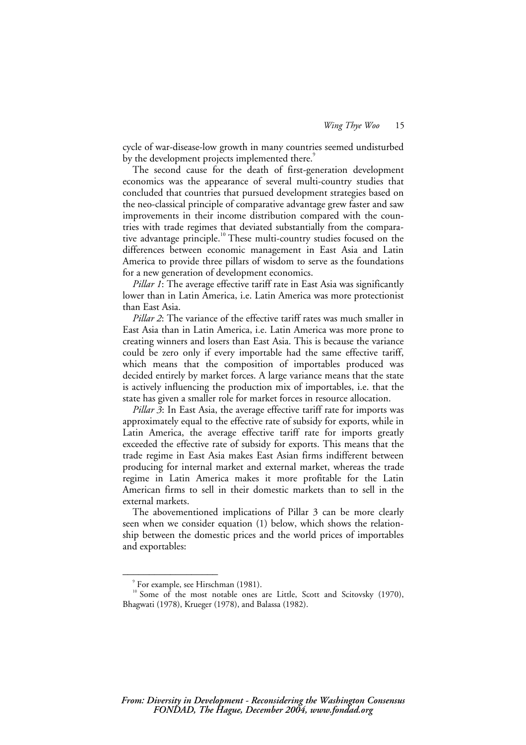cycle of war-disease-low growth in many countries seemed undisturbed by the development projects implemented there.<sup>9</sup>

The second cause for the death of first-generation development economics was the appearance of several multi-country studies that concluded that countries that pursued development strategies based on the neo-classical principle of comparative advantage grew faster and saw improvements in their income distribution compared with the countries with trade regimes that deviated substantially from the comparative advantage principle.<sup>10</sup> These multi-country studies focused on the differences between economic management in East Asia and Latin America to provide three pillars of wisdom to serve as the foundations for a new generation of development economics.

*Pillar 1*: The average effective tariff rate in East Asia was significantly lower than in Latin America, i.e. Latin America was more protectionist than East Asia.

*Pillar 2*: The variance of the effective tariff rates was much smaller in East Asia than in Latin America, i.e. Latin America was more prone to creating winners and losers than East Asia. This is because the variance could be zero only if every importable had the same effective tariff, which means that the composition of importables produced was decided entirely by market forces. A large variance means that the state is actively influencing the production mix of importables, i.e. that the state has given a smaller role for market forces in resource allocation.

*Pillar 3*: In East Asia, the average effective tariff rate for imports was approximately equal to the effective rate of subsidy for exports, while in Latin America, the average effective tariff rate for imports greatly exceeded the effective rate of subsidy for exports. This means that the trade regime in East Asia makes East Asian firms indifferent between producing for internal market and external market, whereas the trade regime in Latin America makes it more profitable for the Latin American firms to sell in their domestic markets than to sell in the external markets.

The abovementioned implications of Pillar 3 can be more clearly seen when we consider equation (1) below, which shows the relationship between the domestic prices and the world prices of importables and exportables:

<sup>9</sup> For example, see Hirschman (1981).

<sup>&</sup>lt;sup>10</sup> Some of the most notable ones are Little, Scott and Scitovsky (1970), Bhagwati (1978), Krueger (1978), and Balassa (1982).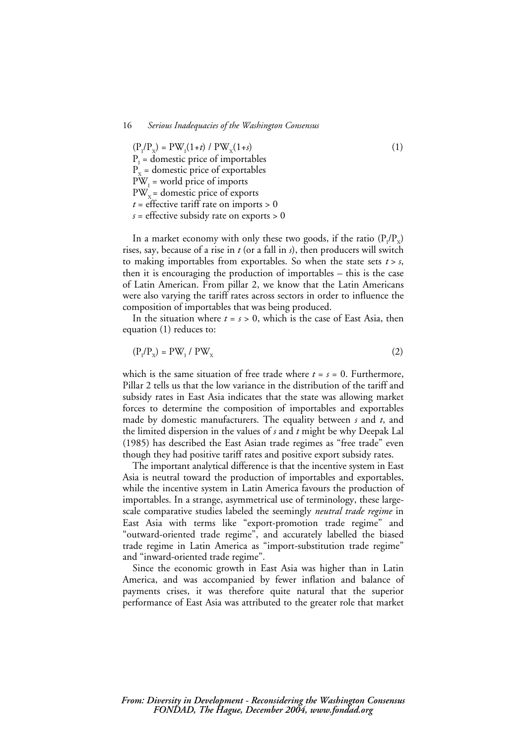$(P_1/P_x) = PW_1(1+t) / PW_x(1+s)$  (1)  $P<sub>I</sub>$  = domestic price of importables  $P<sub>x</sub>$  = domestic price of exportables  $PW_{I}$  = world price of imports  $PW<sub>x</sub>$  = domestic price of exports  $t =$  effective tariff rate on imports  $> 0$ *s* = effective subsidy rate on exports > 0

In a market economy with only these two goods, if the ratio  $(P_1/P_x)$ rises, say, because of a rise in *t* (or a fall in *s*), then producers will switch to making importables from exportables. So when the state sets  $t > s$ , then it is encouraging the production of importables – this is the case of Latin American. From pillar 2, we know that the Latin Americans were also varying the tariff rates across sectors in order to influence the composition of importables that was being produced.

In the situation where  $t = s > 0$ , which is the case of East Asia, then equation (1) reduces to:

$$
(\mathbf{P}_{\mathbf{I}}/\mathbf{P}_{\mathbf{X}}) = \mathbf{P}\mathbf{W}_{\mathbf{I}} / \mathbf{P}\mathbf{W}_{\mathbf{X}}
$$
 (2)

which is the same situation of free trade where  $t = s = 0$ . Furthermore, Pillar 2 tells us that the low variance in the distribution of the tariff and subsidy rates in East Asia indicates that the state was allowing market forces to determine the composition of importables and exportables made by domestic manufacturers. The equality between *s* and *t*, and the limited dispersion in the values of *s* and *t* might be why Deepak Lal (1985) has described the East Asian trade regimes as "free trade" even though they had positive tariff rates and positive export subsidy rates.

The important analytical difference is that the incentive system in East Asia is neutral toward the production of importables and exportables, while the incentive system in Latin America favours the production of importables. In a strange, asymmetrical use of terminology, these largescale comparative studies labeled the seemingly *neutral trade regime* in East Asia with terms like "export-promotion trade regime" and "outward-oriented trade regime", and accurately labelled the biased trade regime in Latin America as "import-substitution trade regime" and "inward-oriented trade regime".

Since the economic growth in East Asia was higher than in Latin America, and was accompanied by fewer inflation and balance of payments crises, it was therefore quite natural that the superior performance of East Asia was attributed to the greater role that market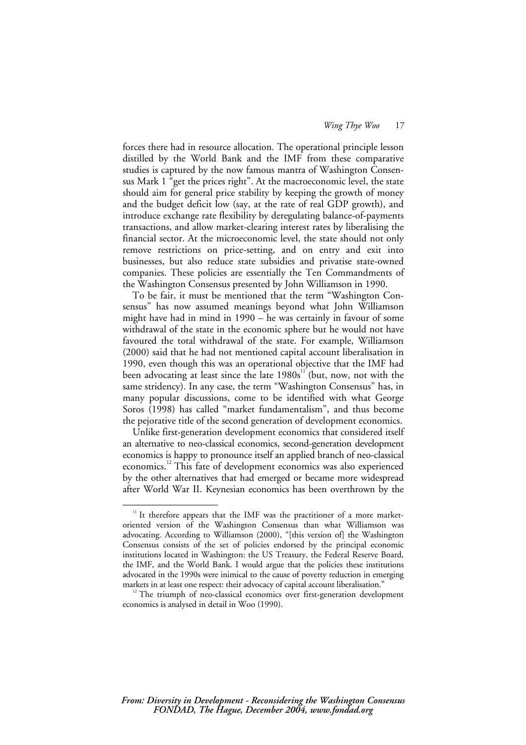forces there had in resource allocation. The operational principle lesson distilled by the World Bank and the IMF from these comparative studies is captured by the now famous mantra of Washington Consensus Mark 1 "get the prices right". At the macroeconomic level, the state should aim for general price stability by keeping the growth of money and the budget deficit low (say, at the rate of real GDP growth), and introduce exchange rate flexibility by deregulating balance-of-payments transactions, and allow market-clearing interest rates by liberalising the financial sector. At the microeconomic level, the state should not only remove restrictions on price-setting, and on entry and exit into businesses, but also reduce state subsidies and privatise state-owned companies. These policies are essentially the Ten Commandments of the Washington Consensus presented by John Williamson in 1990.

To be fair, it must be mentioned that the term "Washington Consensus" has now assumed meanings beyond what John Williamson might have had in mind in 1990 – he was certainly in favour of some withdrawal of the state in the economic sphere but he would not have favoured the total withdrawal of the state. For example, Williamson (2000) said that he had not mentioned capital account liberalisation in 1990, even though this was an operational objective that the IMF had been advocating at least since the late  $1980s<sup>11</sup>$  (but, now, not with the same stridency). In any case, the term "Washington Consensus" has, in many popular discussions, come to be identified with what George Soros (1998) has called "market fundamentalism", and thus become the pejorative title of the second generation of development economics.

Unlike first-generation development economics that considered itself an alternative to neo-classical economics, second-generation development economics is happy to pronounce itself an applied branch of neo-classical economics.12 This fate of development economics was also experienced by the other alternatives that had emerged or became more widespread after World War II. Keynesian economics has been overthrown by the

<sup>&</sup>lt;sup>11</sup> It therefore appears that the IMF was the practitioner of a more marketoriented version of the Washington Consensus than what Williamson was advocating. According to Williamson (2000), "[this version of] the Washington Consensus consists of the set of policies endorsed by the principal economic institutions located in Washington: the US Treasury, the Federal Reserve Board, the IMF, and the World Bank. I would argue that the policies these institutions advocated in the 1990s were inimical to the cause of poverty reduction in emerging

markets in at least one respect: their advocacy of capital account liberalisation."<br><sup>12</sup> The triumph of neo-classical economics over first-generation development economics is analysed in detail in Woo (1990).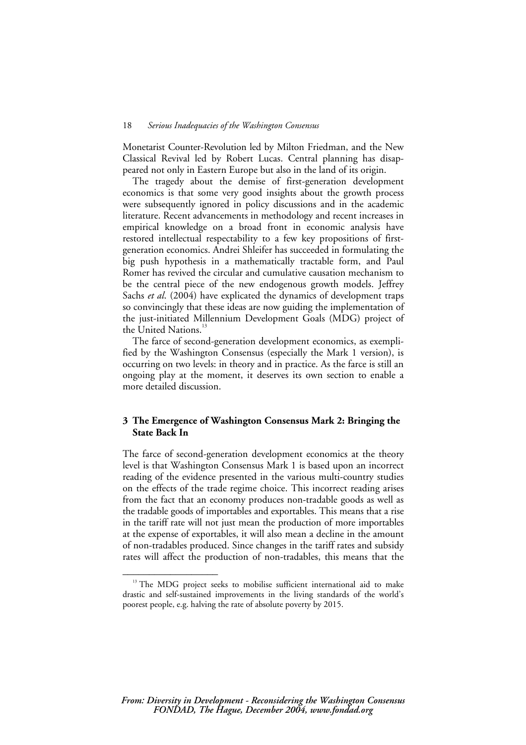Monetarist Counter-Revolution led by Milton Friedman, and the New Classical Revival led by Robert Lucas. Central planning has disappeared not only in Eastern Europe but also in the land of its origin.

The tragedy about the demise of first-generation development economics is that some very good insights about the growth process were subsequently ignored in policy discussions and in the academic literature. Recent advancements in methodology and recent increases in empirical knowledge on a broad front in economic analysis have restored intellectual respectability to a few key propositions of firstgeneration economics. Andrei Shleifer has succeeded in formulating the big push hypothesis in a mathematically tractable form, and Paul Romer has revived the circular and cumulative causation mechanism to be the central piece of the new endogenous growth models. Jeffrey Sachs *et al*. (2004) have explicated the dynamics of development traps so convincingly that these ideas are now guiding the implementation of the just-initiated Millennium Development Goals (MDG) project of the United Nations.<sup>13</sup>

The farce of second-generation development economics, as exemplified by the Washington Consensus (especially the Mark 1 version), is occurring on two levels: in theory and in practice. As the farce is still an ongoing play at the moment, it deserves its own section to enable a more detailed discussion.

# **3 The Emergence of Washington Consensus Mark 2: Bringing the State Back In**

The farce of second-generation development economics at the theory level is that Washington Consensus Mark 1 is based upon an incorrect reading of the evidence presented in the various multi-country studies on the effects of the trade regime choice. This incorrect reading arises from the fact that an economy produces non-tradable goods as well as the tradable goods of importables and exportables. This means that a rise in the tariff rate will not just mean the production of more importables at the expense of exportables, it will also mean a decline in the amount of non-tradables produced. Since changes in the tariff rates and subsidy rates will affect the production of non-tradables, this means that the

<sup>&</sup>lt;sup>13</sup> The MDG project seeks to mobilise sufficient international aid to make drastic and self-sustained improvements in the living standards of the world's poorest people, e.g. halving the rate of absolute poverty by 2015.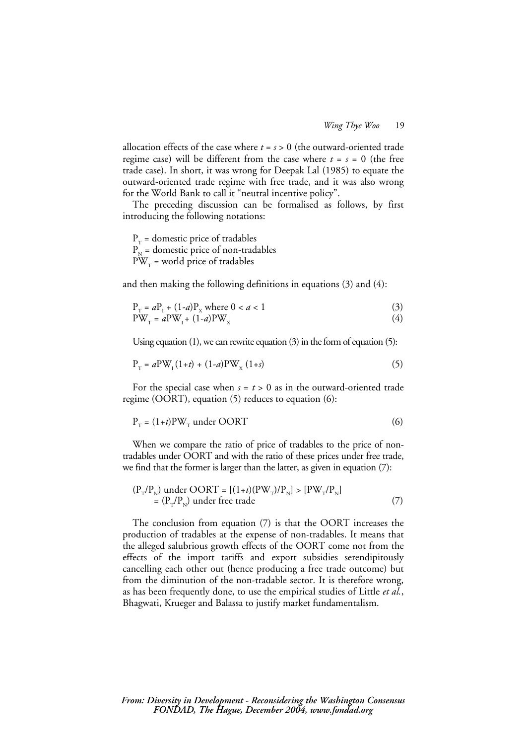allocation effects of the case where  $t = s > 0$  (the outward-oriented trade regime case) will be different from the case where  $t = s = 0$  (the free trade case). In short, it was wrong for Deepak Lal (1985) to equate the outward-oriented trade regime with free trade, and it was also wrong for the World Bank to call it "neutral incentive policy".

The preceding discussion can be formalised as follows, by first introducing the following notations:

 $P_T$  = domestic price of tradables  $P<sub>N</sub>$  = domestic price of non-tradables  $PW_T$  = world price of tradables

and then making the following definitions in equations (3) and (4):

$$
P_{T} = aP_{1} + (1-a)P_{X} \text{ where } 0 < a < 1
$$
  
\n
$$
PW_{T} = aPW_{1} + (1-a)PW_{X}
$$
\n(3)

Using equation (1), we can rewrite equation (3) in the form of equation (5):

$$
P_{T} = aPW_{1}(1+t) + (1-a)PW_{X}(1+s)
$$
\n(5)

For the special case when  $s = t > 0$  as in the outward-oriented trade regime (OORT), equation (5) reduces to equation (6):

$$
P_{T} = (1+t)PW_{T} under OORT
$$
\n(6)

When we compare the ratio of price of tradables to the price of nontradables under OORT and with the ratio of these prices under free trade, we find that the former is larger than the latter, as given in equation (7):

$$
(P_{T}/P_{N}) under OORT = [(1+t)(PW_{T})/P_{N}] > [PW_{T}/P_{N}]
$$
  
= (P\_{T}/P\_{N}) under free trade (7)

The conclusion from equation (7) is that the OORT increases the production of tradables at the expense of non-tradables. It means that the alleged salubrious growth effects of the OORT come not from the effects of the import tariffs and export subsidies serendipitously cancelling each other out (hence producing a free trade outcome) but from the diminution of the non-tradable sector. It is therefore wrong, as has been frequently done, to use the empirical studies of Little *et al.*, Bhagwati, Krueger and Balassa to justify market fundamentalism.

#### *From: Diversity in Development - Reconsidering the Washington Consensus FONDAD, The Hague, December 2004, www.fondad.org*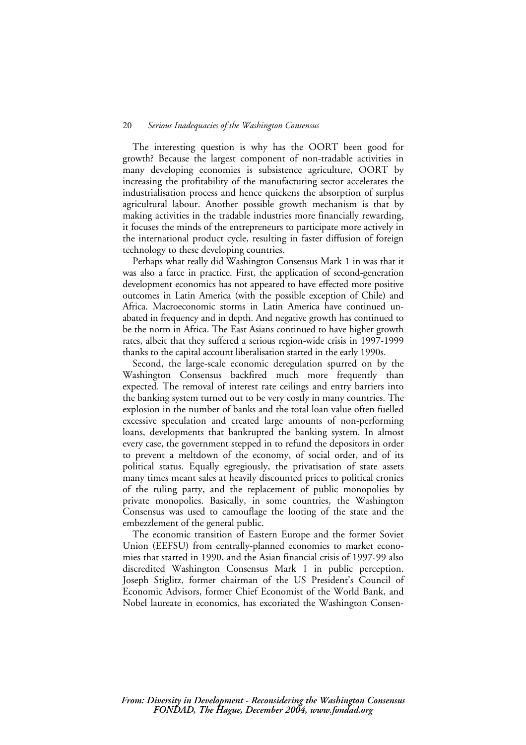The interesting question is why has the OORT been good for growth? Because the largest component of non-tradable activities in many developing economies is subsistence agriculture, OORT by increasing the profitability of the manufacturing sector accelerates the industrialisation process and hence quickens the absorption of surplus agricultural labour. Another possible growth mechanism is that by making activities in the tradable industries more financially rewarding, it focuses the minds of the entrepreneurs to participate more actively in the international product cycle, resulting in faster diffusion of foreign technology to these developing countries.

Perhaps what really did Washington Consensus Mark 1 in was that it was also a farce in practice. First, the application of second-generation development economics has not appeared to have effected more positive outcomes in Latin America (with the possible exception of Chile) and Africa. Macroeconomic storms in Latin America have continued unabated in frequency and in depth. And negative growth has continued to be the norm in Africa. The East Asians continued to have higher growth rates, albeit that they suffered a serious region-wide crisis in 1997-1999 thanks to the capital account liberalisation started in the early 1990s.

Second, the large-scale economic deregulation spurred on by the Washington Consensus backfired much more frequently than expected. The removal of interest rate ceilings and entry barriers into the banking system turned out to be very costly in many countries. The explosion in the number of banks and the total loan value often fuelled excessive speculation and created large amounts of non-performing loans, developments that bankrupted the banking system. In almost every case, the government stepped in to refund the depositors in order to prevent a meltdown of the economy, of social order, and of its political status. Equally egregiously, the privatisation of state assets many times meant sales at heavily discounted prices to political cronies of the ruling party, and the replacement of public monopolies by private monopolies. Basically, in some countries, the Washington Consensus was used to camouflage the looting of the state and the embezzlement of the general public.

The economic transition of Eastern Europe and the former Soviet Union (EEFSU) from centrally-planned economies to market economies that started in 1990, and the Asian financial crisis of 1997-99 also discredited Washington Consensus Mark 1 in public perception. Joseph Stiglitz, former chairman of the US President's Council of Economic Advisors, former Chief Economist of the World Bank, and Nobel laureate in economics, has excoriated the Washington Consen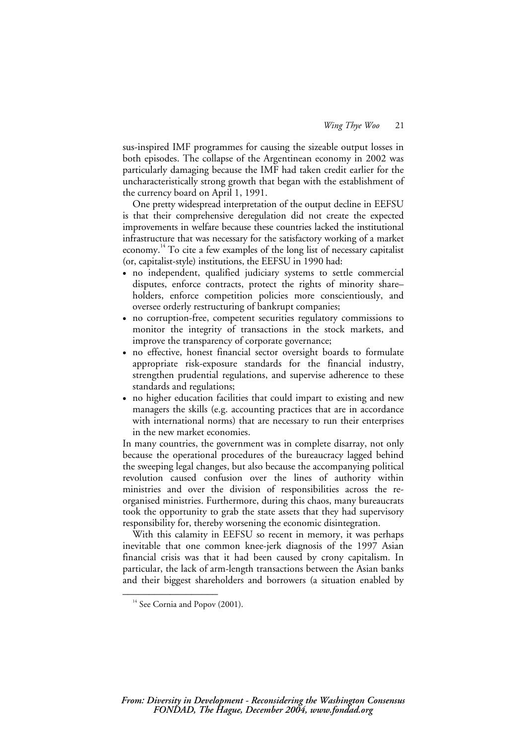sus-inspired IMF programmes for causing the sizeable output losses in both episodes. The collapse of the Argentinean economy in 2002 was particularly damaging because the IMF had taken credit earlier for the uncharacteristically strong growth that began with the establishment of the currency board on April 1, 1991.

One pretty widespread interpretation of the output decline in EEFSU is that their comprehensive deregulation did not create the expected improvements in welfare because these countries lacked the institutional infrastructure that was necessary for the satisfactory working of a market economy.<sup>14</sup> To cite a few examples of the long list of necessary capitalist (or, capitalist-style) institutions, the EEFSU in 1990 had:

- no independent, qualified judiciary systems to settle commercial disputes, enforce contracts, protect the rights of minority share– holders, enforce competition policies more conscientiously, and oversee orderly restructuring of bankrupt companies;
- no corruption-free, competent securities regulatory commissions to monitor the integrity of transactions in the stock markets, and improve the transparency of corporate governance;
- no effective, honest financial sector oversight boards to formulate appropriate risk-exposure standards for the financial industry, strengthen prudential regulations, and supervise adherence to these standards and regulations;
- no higher education facilities that could impart to existing and new managers the skills (e.g. accounting practices that are in accordance with international norms) that are necessary to run their enterprises in the new market economies.

In many countries, the government was in complete disarray, not only because the operational procedures of the bureaucracy lagged behind the sweeping legal changes, but also because the accompanying political revolution caused confusion over the lines of authority within ministries and over the division of responsibilities across the reorganised ministries. Furthermore, during this chaos, many bureaucrats took the opportunity to grab the state assets that they had supervisory responsibility for, thereby worsening the economic disintegration.

With this calamity in EEFSU so recent in memory, it was perhaps inevitable that one common knee-jerk diagnosis of the 1997 Asian financial crisis was that it had been caused by crony capitalism. In particular, the lack of arm-length transactions between the Asian banks and their biggest shareholders and borrowers (a situation enabled by

 $14$  See Cornia and Popov (2001).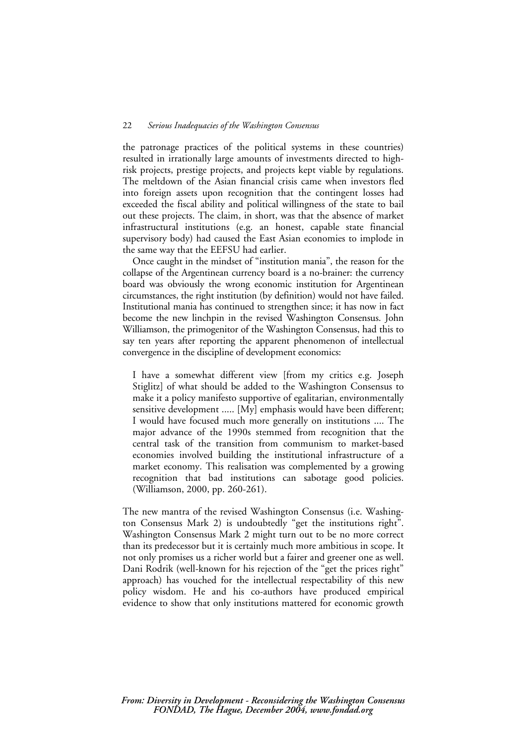the patronage practices of the political systems in these countries) resulted in irrationally large amounts of investments directed to highrisk projects, prestige projects, and projects kept viable by regulations. The meltdown of the Asian financial crisis came when investors fled into foreign assets upon recognition that the contingent losses had exceeded the fiscal ability and political willingness of the state to bail out these projects. The claim, in short, was that the absence of market infrastructural institutions (e.g. an honest, capable state financial supervisory body) had caused the East Asian economies to implode in the same way that the EEFSU had earlier.

Once caught in the mindset of "institution mania", the reason for the collapse of the Argentinean currency board is a no-brainer: the currency board was obviously the wrong economic institution for Argentinean circumstances, the right institution (by definition) would not have failed. Institutional mania has continued to strengthen since; it has now in fact become the new linchpin in the revised Washington Consensus. John Williamson, the primogenitor of the Washington Consensus, had this to say ten years after reporting the apparent phenomenon of intellectual convergence in the discipline of development economics:

I have a somewhat different view [from my critics e.g. Joseph Stiglitz] of what should be added to the Washington Consensus to make it a policy manifesto supportive of egalitarian, environmentally sensitive development ..... [My] emphasis would have been different; I would have focused much more generally on institutions .... The major advance of the 1990s stemmed from recognition that the central task of the transition from communism to market-based economies involved building the institutional infrastructure of a market economy. This realisation was complemented by a growing recognition that bad institutions can sabotage good policies. (Williamson, 2000, pp. 260-261).

The new mantra of the revised Washington Consensus (i.e. Washington Consensus Mark 2) is undoubtedly "get the institutions right". Washington Consensus Mark 2 might turn out to be no more correct than its predecessor but it is certainly much more ambitious in scope. It not only promises us a richer world but a fairer and greener one as well. Dani Rodrik (well-known for his rejection of the "get the prices right" approach) has vouched for the intellectual respectability of this new policy wisdom. He and his co-authors have produced empirical evidence to show that only institutions mattered for economic growth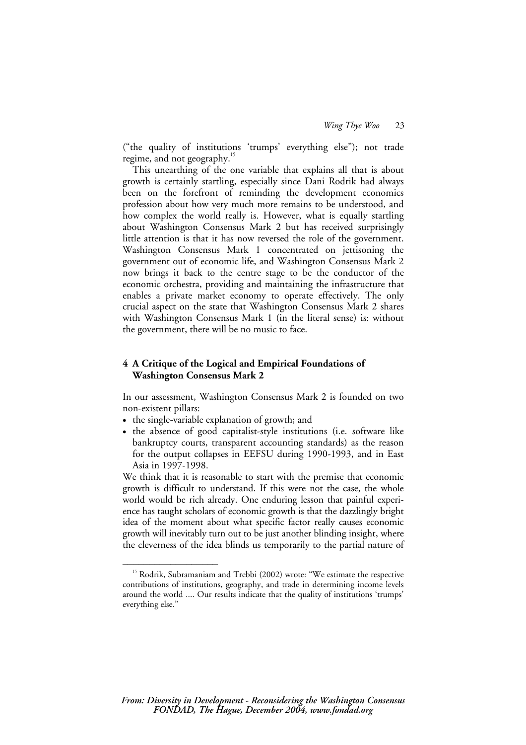("the quality of institutions 'trumps' everything else"); not trade regime, and not geography.<sup>15</sup>

This unearthing of the one variable that explains all that is about growth is certainly startling, especially since Dani Rodrik had always been on the forefront of reminding the development economics profession about how very much more remains to be understood, and how complex the world really is. However, what is equally startling about Washington Consensus Mark 2 but has received surprisingly little attention is that it has now reversed the role of the government. Washington Consensus Mark 1 concentrated on jettisoning the government out of economic life, and Washington Consensus Mark 2 now brings it back to the centre stage to be the conductor of the economic orchestra, providing and maintaining the infrastructure that enables a private market economy to operate effectively. The only crucial aspect on the state that Washington Consensus Mark 2 shares with Washington Consensus Mark 1 (in the literal sense) is: without the government, there will be no music to face.

### **4 A Critique of the Logical and Empirical Foundations of Washington Consensus Mark 2**

In our assessment, Washington Consensus Mark 2 is founded on two non-existent pillars:

• the single-variable explanation of growth; and

––––––––––––––––––

• the absence of good capitalist-style institutions (i.e. software like bankruptcy courts, transparent accounting standards) as the reason for the output collapses in EEFSU during 1990-1993, and in East Asia in 1997-1998.

We think that it is reasonable to start with the premise that economic growth is difficult to understand. If this were not the case, the whole world would be rich already. One enduring lesson that painful experience has taught scholars of economic growth is that the dazzlingly bright idea of the moment about what specific factor really causes economic growth will inevitably turn out to be just another blinding insight, where the cleverness of the idea blinds us temporarily to the partial nature of

<sup>&</sup>lt;sup>15</sup> Rodrik, Subramaniam and Trebbi (2002) wrote: "We estimate the respective contributions of institutions, geography, and trade in determining income levels around the world .... Our results indicate that the quality of institutions 'trumps' everything else."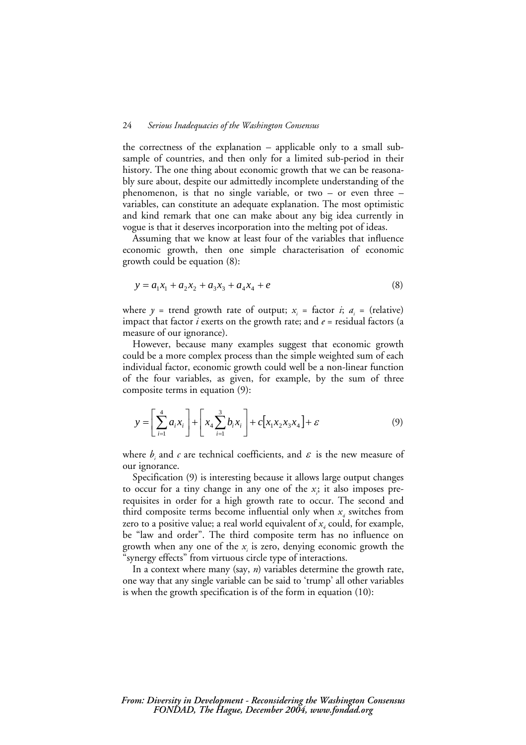the correctness of the explanation – applicable only to a small subsample of countries, and then only for a limited sub-period in their history. The one thing about economic growth that we can be reasonably sure about, despite our admittedly incomplete understanding of the phenomenon, is that no single variable, or two – or even three – variables, can constitute an adequate explanation. The most optimistic and kind remark that one can make about any big idea currently in vogue is that it deserves incorporation into the melting pot of ideas.

Assuming that we know at least four of the variables that influence economic growth, then one simple characterisation of economic growth could be equation (8):

$$
y = a_1 x_1 + a_2 x_2 + a_3 x_3 + a_4 x_4 + e \tag{8}
$$

where  $y =$  trend growth rate of output;  $x_i =$  factor  $i$ ;  $a_i =$  (relative) impact that factor *i* exerts on the growth rate; and *e* = residual factors (a measure of our ignorance).

However, because many examples suggest that economic growth could be a more complex process than the simple weighted sum of each individual factor, economic growth could well be a non-linear function of the four variables, as given, for example, by the sum of three composite terms in equation (9):

$$
y = \left[\sum_{i=1}^{4} a_i x_i\right] + \left[x_4 \sum_{i=1}^{3} b_i x_i\right] + c \left[x_1 x_2 x_3 x_4\right] + \varepsilon
$$
 (9)

where  $b_i$  and  $c$  are technical coefficients, and  $\varepsilon$  is the new measure of our ignorance.

Specification (9) is interesting because it allows large output changes to occur for a tiny change in any one of the  $x$ ; it also imposes prerequisites in order for a high growth rate to occur. The second and third composite terms become influential only when  $x_i$  switches from zero to a positive value; a real world equivalent of  $x_i$  could, for example, be "law and order". The third composite term has no influence on growth when any one of the *xi* is zero, denying economic growth the "synergy effects" from virtuous circle type of interactions.

In a context where many (say, *n*) variables determine the growth rate, one way that any single variable can be said to 'trump' all other variables is when the growth specification is of the form in equation (10):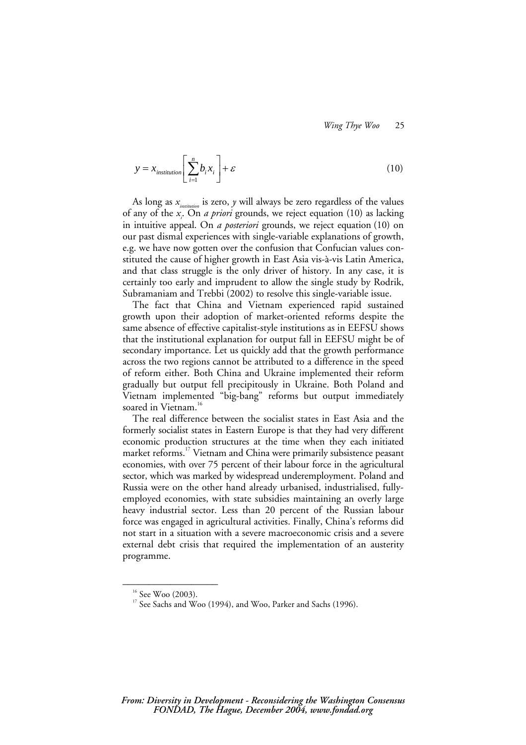$$
y = x_{\text{institution}} \left[ \sum_{i=1}^{n} b_i x_i \right] + \varepsilon \tag{10}
$$

As long as *xinstitution* is zero, *y* will always be zero regardless of the values of any of the *xi* . On *a priori* grounds, we reject equation (10) as lacking in intuitive appeal. On *a posteriori* grounds, we reject equation (10) on our past dismal experiences with single-variable explanations of growth, e.g. we have now gotten over the confusion that Confucian values constituted the cause of higher growth in East Asia vis-à-vis Latin America, and that class struggle is the only driver of history. In any case, it is certainly too early and imprudent to allow the single study by Rodrik, Subramaniam and Trebbi (2002) to resolve this single-variable issue.

The fact that China and Vietnam experienced rapid sustained growth upon their adoption of market-oriented reforms despite the same absence of effective capitalist-style institutions as in EEFSU shows that the institutional explanation for output fall in EEFSU might be of secondary importance. Let us quickly add that the growth performance across the two regions cannot be attributed to a difference in the speed of reform either. Both China and Ukraine implemented their reform gradually but output fell precipitously in Ukraine. Both Poland and Vietnam implemented "big-bang" reforms but output immediately soared in Vietnam.<sup>16</sup>

The real difference between the socialist states in East Asia and the formerly socialist states in Eastern Europe is that they had very different economic production structures at the time when they each initiated market reforms.<sup>17</sup> Vietnam and China were primarily subsistence peasant economies, with over 75 percent of their labour force in the agricultural sector, which was marked by widespread underemployment. Poland and Russia were on the other hand already urbanised, industrialised, fullyemployed economies, with state subsidies maintaining an overly large heavy industrial sector. Less than 20 percent of the Russian labour force was engaged in agricultural activities. Finally, China's reforms did not start in a situation with a severe macroeconomic crisis and a severe external debt crisis that required the implementation of an austerity programme.

 $16$  See Woo (2003).

<sup>&</sup>lt;sup>17</sup> See Sachs and Woo (1994), and Woo, Parker and Sachs (1996).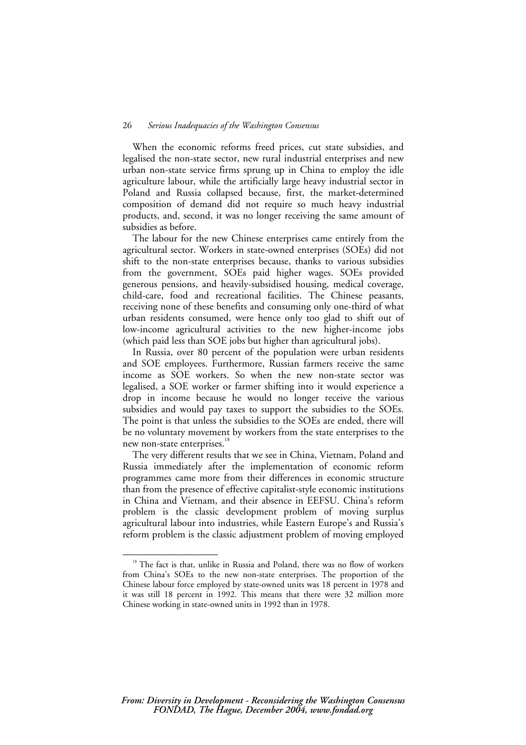When the economic reforms freed prices, cut state subsidies, and legalised the non-state sector, new rural industrial enterprises and new urban non-state service firms sprung up in China to employ the idle agriculture labour, while the artificially large heavy industrial sector in Poland and Russia collapsed because, first, the market-determined composition of demand did not require so much heavy industrial products, and, second, it was no longer receiving the same amount of subsidies as before.

The labour for the new Chinese enterprises came entirely from the agricultural sector. Workers in state-owned enterprises (SOEs) did not shift to the non-state enterprises because, thanks to various subsidies from the government, SOEs paid higher wages. SOEs provided generous pensions, and heavily-subsidised housing, medical coverage, child-care, food and recreational facilities. The Chinese peasants, receiving none of these benefits and consuming only one-third of what urban residents consumed, were hence only too glad to shift out of low-income agricultural activities to the new higher-income jobs (which paid less than SOE jobs but higher than agricultural jobs).

In Russia, over 80 percent of the population were urban residents and SOE employees. Furthermore, Russian farmers receive the same income as SOE workers. So when the new non-state sector was legalised, a SOE worker or farmer shifting into it would experience a drop in income because he would no longer receive the various subsidies and would pay taxes to support the subsidies to the SOEs. The point is that unless the subsidies to the SOEs are ended, there will be no voluntary movement by workers from the state enterprises to the new non-state enterprises.<sup>18</sup>

The very different results that we see in China, Vietnam, Poland and Russia immediately after the implementation of economic reform programmes came more from their differences in economic structure than from the presence of effective capitalist-style economic institutions in China and Vietnam, and their absence in EEFSU. China's reform problem is the classic development problem of moving surplus agricultural labour into industries, while Eastern Europe's and Russia's reform problem is the classic adjustment problem of moving employed

<sup>&</sup>lt;sup>18</sup> The fact is that, unlike in Russia and Poland, there was no flow of workers from China's SOEs to the new non-state enterprises. The proportion of the Chinese labour force employed by state-owned units was 18 percent in 1978 and it was still 18 percent in 1992. This means that there were 32 million more Chinese working in state-owned units in 1992 than in 1978.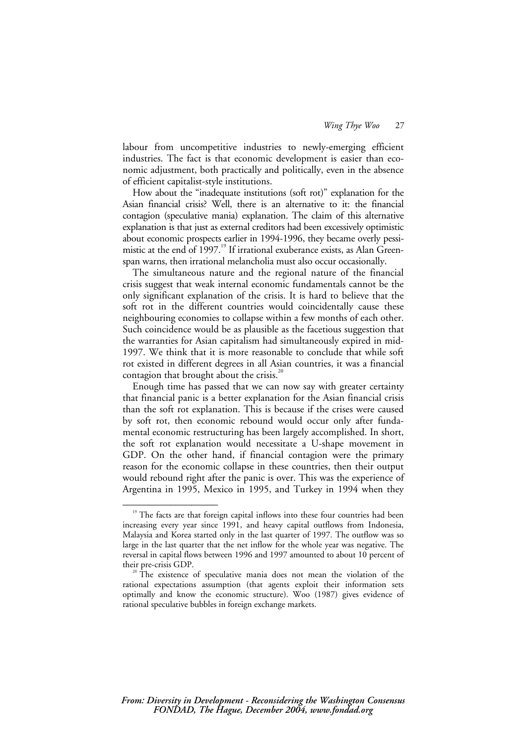labour from uncompetitive industries to newly-emerging efficient industries. The fact is that economic development is easier than economic adjustment, both practically and politically, even in the absence of efficient capitalist-style institutions.

How about the "inadequate institutions (soft rot)" explanation for the Asian financial crisis? Well, there is an alternative to it: the financial contagion (speculative mania) explanation. The claim of this alternative explanation is that just as external creditors had been excessively optimistic about economic prospects earlier in 1994-1996, they became overly pessimistic at the end of 1997.<sup>19</sup> If irrational exuberance exists, as Alan Greenspan warns, then irrational melancholia must also occur occasionally.

The simultaneous nature and the regional nature of the financial crisis suggest that weak internal economic fundamentals cannot be the only significant explanation of the crisis. It is hard to believe that the soft rot in the different countries would coincidentally cause these neighbouring economies to collapse within a few months of each other. Such coincidence would be as plausible as the facetious suggestion that the warranties for Asian capitalism had simultaneously expired in mid-1997. We think that it is more reasonable to conclude that while soft rot existed in different degrees in all Asian countries, it was a financial contagion that brought about the crisis. $20$ 

Enough time has passed that we can now say with greater certainty that financial panic is a better explanation for the Asian financial crisis than the soft rot explanation. This is because if the crises were caused by soft rot, then economic rebound would occur only after fundamental economic restructuring has been largely accomplished. In short, the soft rot explanation would necessitate a U-shape movement in GDP. On the other hand, if financial contagion were the primary reason for the economic collapse in these countries, then their output would rebound right after the panic is over. This was the experience of Argentina in 1995, Mexico in 1995, and Turkey in 1994 when they

 $19$  The facts are that foreign capital inflows into these four countries had been increasing every year since 1991, and heavy capital outflows from Indonesia, Malaysia and Korea started only in the last quarter of 1997. The outflow was so large in the last quarter that the net inflow for the whole year was negative. The reversal in capital flows between 1996 and 1997 amounted to about 10 percent of

 $t^{20}$  The existence of speculative mania does not mean the violation of the rational expectations assumption (that agents exploit their information sets optimally and know the economic structure). Woo (1987) gives evidence of rational speculative bubbles in foreign exchange markets.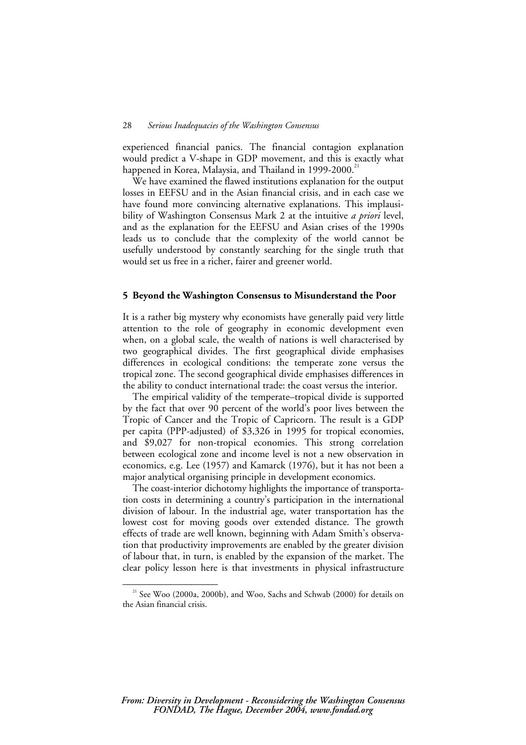experienced financial panics. The financial contagion explanation would predict a V-shape in GDP movement, and this is exactly what happened in Korea, Malaysia, and Thailand in 1999-2000.<sup>21</sup>

We have examined the flawed institutions explanation for the output losses in EEFSU and in the Asian financial crisis, and in each case we have found more convincing alternative explanations. This implausibility of Washington Consensus Mark 2 at the intuitive *a priori* level, and as the explanation for the EEFSU and Asian crises of the 1990s leads us to conclude that the complexity of the world cannot be usefully understood by constantly searching for the single truth that would set us free in a richer, fairer and greener world.

#### **5 Beyond the Washington Consensus to Misunderstand the Poor**

It is a rather big mystery why economists have generally paid very little attention to the role of geography in economic development even when, on a global scale, the wealth of nations is well characterised by two geographical divides. The first geographical divide emphasises differences in ecological conditions: the temperate zone versus the tropical zone. The second geographical divide emphasises differences in the ability to conduct international trade: the coast versus the interior.

The empirical validity of the temperate–tropical divide is supported by the fact that over 90 percent of the world's poor lives between the Tropic of Cancer and the Tropic of Capricorn. The result is a GDP per capita (PPP-adjusted) of \$3,326 in 1995 for tropical economies, and \$9,027 for non-tropical economies. This strong correlation between ecological zone and income level is not a new observation in economics, e.g. Lee (1957) and Kamarck (1976), but it has not been a major analytical organising principle in development economics.

The coast-interior dichotomy highlights the importance of transportation costs in determining a country's participation in the international division of labour. In the industrial age, water transportation has the lowest cost for moving goods over extended distance. The growth effects of trade are well known, beginning with Adam Smith's observation that productivity improvements are enabled by the greater division of labour that, in turn, is enabled by the expansion of the market. The clear policy lesson here is that investments in physical infrastructure

<sup>&</sup>lt;sup>21</sup> See Woo (2000a, 2000b), and Woo, Sachs and Schwab (2000) for details on the Asian financial crisis.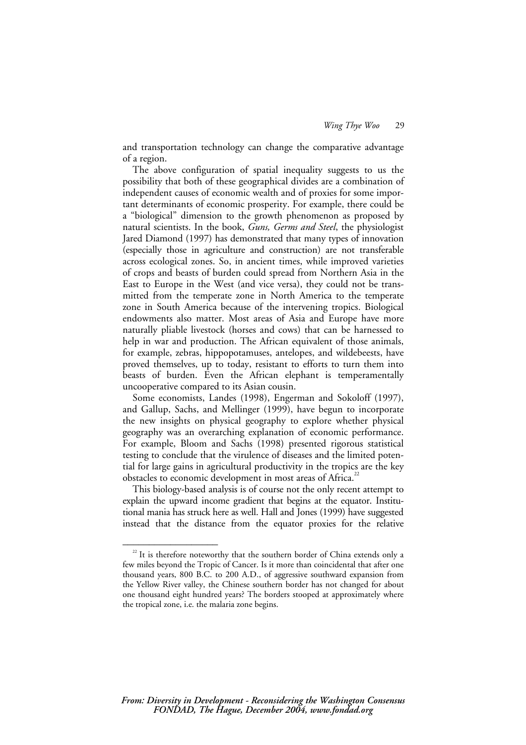and transportation technology can change the comparative advantage of a region.

The above configuration of spatial inequality suggests to us the possibility that both of these geographical divides are a combination of independent causes of economic wealth and of proxies for some important determinants of economic prosperity. For example, there could be a "biological" dimension to the growth phenomenon as proposed by natural scientists. In the book, *Guns, Germs and Steel*, the physiologist Jared Diamond (1997) has demonstrated that many types of innovation (especially those in agriculture and construction) are not transferable across ecological zones. So, in ancient times, while improved varieties of crops and beasts of burden could spread from Northern Asia in the East to Europe in the West (and vice versa), they could not be transmitted from the temperate zone in North America to the temperate zone in South America because of the intervening tropics. Biological endowments also matter. Most areas of Asia and Europe have more naturally pliable livestock (horses and cows) that can be harnessed to help in war and production. The African equivalent of those animals, for example, zebras, hippopotamuses, antelopes, and wildebeests, have proved themselves, up to today, resistant to efforts to turn them into beasts of burden. Even the African elephant is temperamentally uncooperative compared to its Asian cousin.

Some economists, Landes (1998), Engerman and Sokoloff (1997), and Gallup, Sachs, and Mellinger (1999), have begun to incorporate the new insights on physical geography to explore whether physical geography was an overarching explanation of economic performance. For example, Bloom and Sachs (1998) presented rigorous statistical testing to conclude that the virulence of diseases and the limited potential for large gains in agricultural productivity in the tropics are the key obstacles to economic development in most areas of Africa.<sup>22</sup>

This biology-based analysis is of course not the only recent attempt to explain the upward income gradient that begins at the equator. Institutional mania has struck here as well. Hall and Jones (1999) have suggested instead that the distance from the equator proxies for the relative

 $22$  It is therefore noteworthy that the southern border of China extends only a few miles beyond the Tropic of Cancer. Is it more than coincidental that after one thousand years, 800 B.C. to 200 A.D., of aggressive southward expansion from the Yellow River valley, the Chinese southern border has not changed for about one thousand eight hundred years? The borders stooped at approximately where the tropical zone, i.e. the malaria zone begins.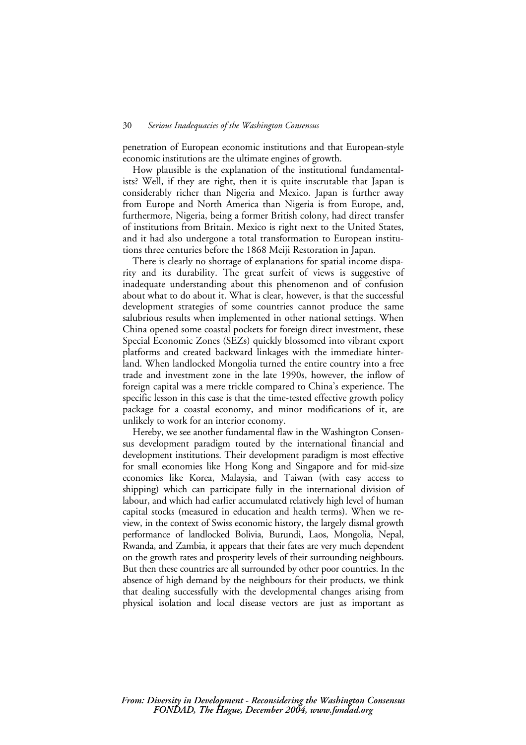penetration of European economic institutions and that European-style economic institutions are the ultimate engines of growth.

How plausible is the explanation of the institutional fundamentalists? Well, if they are right, then it is quite inscrutable that Japan is considerably richer than Nigeria and Mexico. Japan is further away from Europe and North America than Nigeria is from Europe, and, furthermore, Nigeria, being a former British colony, had direct transfer of institutions from Britain. Mexico is right next to the United States, and it had also undergone a total transformation to European institutions three centuries before the 1868 Meiji Restoration in Japan.

There is clearly no shortage of explanations for spatial income disparity and its durability. The great surfeit of views is suggestive of inadequate understanding about this phenomenon and of confusion about what to do about it. What is clear, however, is that the successful development strategies of some countries cannot produce the same salubrious results when implemented in other national settings. When China opened some coastal pockets for foreign direct investment, these Special Economic Zones (SEZs) quickly blossomed into vibrant export platforms and created backward linkages with the immediate hinterland. When landlocked Mongolia turned the entire country into a free trade and investment zone in the late 1990s, however, the inflow of foreign capital was a mere trickle compared to China's experience. The specific lesson in this case is that the time-tested effective growth policy package for a coastal economy, and minor modifications of it, are unlikely to work for an interior economy.

Hereby, we see another fundamental flaw in the Washington Consensus development paradigm touted by the international financial and development institutions. Their development paradigm is most effective for small economies like Hong Kong and Singapore and for mid-size economies like Korea, Malaysia, and Taiwan (with easy access to shipping) which can participate fully in the international division of labour, and which had earlier accumulated relatively high level of human capital stocks (measured in education and health terms). When we review, in the context of Swiss economic history, the largely dismal growth performance of landlocked Bolivia, Burundi, Laos, Mongolia, Nepal, Rwanda, and Zambia, it appears that their fates are very much dependent on the growth rates and prosperity levels of their surrounding neighbours. But then these countries are all surrounded by other poor countries. In the absence of high demand by the neighbours for their products, we think that dealing successfully with the developmental changes arising from physical isolation and local disease vectors are just as important as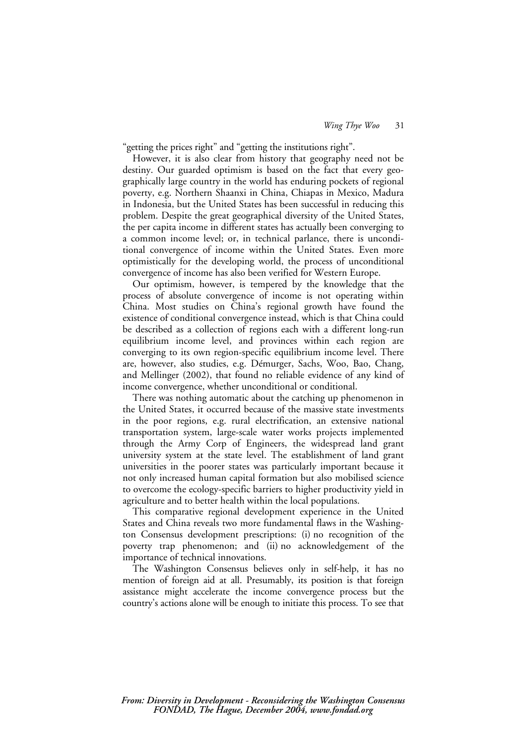"getting the prices right" and "getting the institutions right".

However, it is also clear from history that geography need not be destiny. Our guarded optimism is based on the fact that every geographically large country in the world has enduring pockets of regional poverty, e.g. Northern Shaanxi in China, Chiapas in Mexico, Madura in Indonesia, but the United States has been successful in reducing this problem. Despite the great geographical diversity of the United States, the per capita income in different states has actually been converging to a common income level; or, in technical parlance, there is unconditional convergence of income within the United States. Even more optimistically for the developing world, the process of unconditional convergence of income has also been verified for Western Europe.

Our optimism, however, is tempered by the knowledge that the process of absolute convergence of income is not operating within China. Most studies on China's regional growth have found the existence of conditional convergence instead, which is that China could be described as a collection of regions each with a different long-run equilibrium income level, and provinces within each region are converging to its own region-specific equilibrium income level. There are, however, also studies, e.g. Démurger, Sachs, Woo, Bao, Chang, and Mellinger (2002), that found no reliable evidence of any kind of income convergence, whether unconditional or conditional.

There was nothing automatic about the catching up phenomenon in the United States, it occurred because of the massive state investments in the poor regions, e.g. rural electrification, an extensive national transportation system, large-scale water works projects implemented through the Army Corp of Engineers, the widespread land grant university system at the state level. The establishment of land grant universities in the poorer states was particularly important because it not only increased human capital formation but also mobilised science to overcome the ecology-specific barriers to higher productivity yield in agriculture and to better health within the local populations.

This comparative regional development experience in the United States and China reveals two more fundamental flaws in the Washington Consensus development prescriptions: (i) no recognition of the poverty trap phenomenon; and (ii) no acknowledgement of the importance of technical innovations.

The Washington Consensus believes only in self-help, it has no mention of foreign aid at all. Presumably, its position is that foreign assistance might accelerate the income convergence process but the country's actions alone will be enough to initiate this process. To see that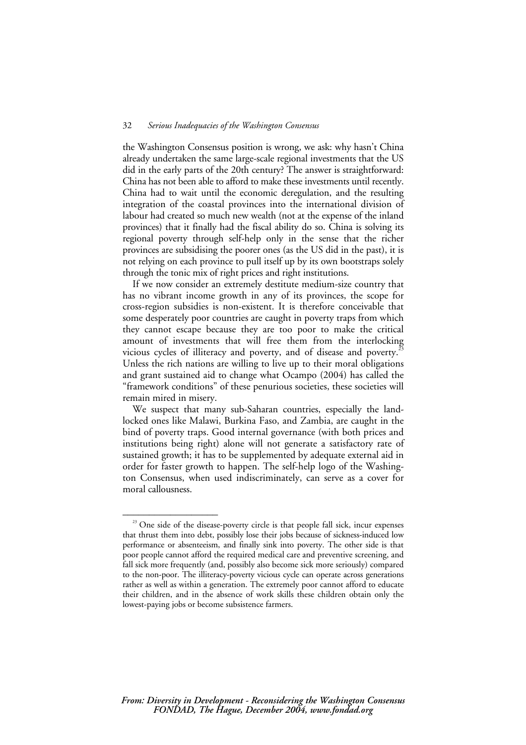the Washington Consensus position is wrong, we ask: why hasn't China already undertaken the same large-scale regional investments that the US did in the early parts of the 20th century? The answer is straightforward: China has not been able to afford to make these investments until recently. China had to wait until the economic deregulation, and the resulting integration of the coastal provinces into the international division of labour had created so much new wealth (not at the expense of the inland provinces) that it finally had the fiscal ability do so. China is solving its regional poverty through self-help only in the sense that the richer provinces are subsidising the poorer ones (as the US did in the past), it is not relying on each province to pull itself up by its own bootstraps solely through the tonic mix of right prices and right institutions.

If we now consider an extremely destitute medium-size country that has no vibrant income growth in any of its provinces, the scope for cross-region subsidies is non-existent. It is therefore conceivable that some desperately poor countries are caught in poverty traps from which they cannot escape because they are too poor to make the critical amount of investments that will free them from the interlocking vicious cycles of illiteracy and poverty, and of disease and poverty.<sup>23</sup> Unless the rich nations are willing to live up to their moral obligations and grant sustained aid to change what Ocampo (2004) has called the "framework conditions" of these penurious societies, these societies will remain mired in misery.

We suspect that many sub-Saharan countries, especially the landlocked ones like Malawi, Burkina Faso, and Zambia, are caught in the bind of poverty traps. Good internal governance (with both prices and institutions being right) alone will not generate a satisfactory rate of sustained growth; it has to be supplemented by adequate external aid in order for faster growth to happen. The self-help logo of the Washington Consensus, when used indiscriminately, can serve as a cover for moral callousness.

 $23$  One side of the disease-poverty circle is that people fall sick, incur expenses that thrust them into debt, possibly lose their jobs because of sickness-induced low performance or absenteeism, and finally sink into poverty. The other side is that poor people cannot afford the required medical care and preventive screening, and fall sick more frequently (and, possibly also become sick more seriously) compared to the non-poor. The illiteracy-poverty vicious cycle can operate across generations rather as well as within a generation. The extremely poor cannot afford to educate their children, and in the absence of work skills these children obtain only the lowest-paying jobs or become subsistence farmers.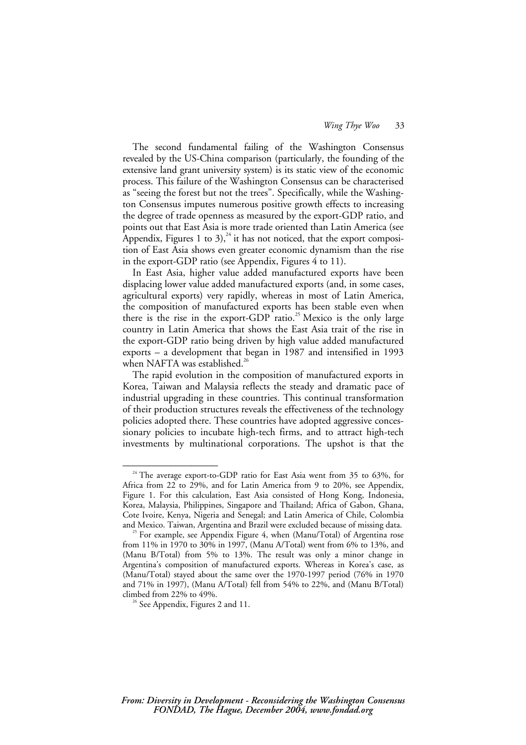The second fundamental failing of the Washington Consensus revealed by the US-China comparison (particularly, the founding of the extensive land grant university system) is its static view of the economic process. This failure of the Washington Consensus can be characterised as "seeing the forest but not the trees". Specifically, while the Washington Consensus imputes numerous positive growth effects to increasing the degree of trade openness as measured by the export-GDP ratio, and points out that East Asia is more trade oriented than Latin America (see Appendix, Figures 1 to 3),<sup>24</sup> it has not noticed, that the export composition of East Asia shows even greater economic dynamism than the rise in the export-GDP ratio (see Appendix, Figures 4 to 11).

In East Asia, higher value added manufactured exports have been displacing lower value added manufactured exports (and, in some cases, agricultural exports) very rapidly, whereas in most of Latin America, the composition of manufactured exports has been stable even when there is the rise in the export-GDP ratio.<sup>25</sup> Mexico is the only large country in Latin America that shows the East Asia trait of the rise in the export-GDP ratio being driven by high value added manufactured exports – a development that began in 1987 and intensified in 1993 when NAFTA was established.<sup>26</sup>

The rapid evolution in the composition of manufactured exports in Korea, Taiwan and Malaysia reflects the steady and dramatic pace of industrial upgrading in these countries. This continual transformation of their production structures reveals the effectiveness of the technology policies adopted there. These countries have adopted aggressive concessionary policies to incubate high-tech firms, and to attract high-tech investments by multinational corporations. The upshot is that the

<sup>&</sup>lt;sup>24</sup> The average export-to-GDP ratio for East Asia went from 35 to 63%, for Africa from 22 to 29%, and for Latin America from 9 to 20%, see Appendix, Figure 1. For this calculation, East Asia consisted of Hong Kong, Indonesia, Korea, Malaysia, Philippines, Singapore and Thailand; Africa of Gabon, Ghana, Cote Ivoire, Kenya, Nigeria and Senegal; and Latin America of Chile, Colombia

and Mexico. Taiwan, Argentina and Brazil were excluded because of missing data. 25 For example, see Appendix Figure 4, when (Manu/Total) of Argentina rose from 11% in 1970 to 30% in 1997, (Manu A/Total) went from 6% to 13%, and (Manu B/Total) from 5% to 13%. The result was only a minor change in Argentina's composition of manufactured exports. Whereas in Korea's case, as (Manu/Total) stayed about the same over the 1970-1997 period (76% in 1970 and 71% in 1997), (Manu A/Total) fell from 54% to 22%, and (Manu B/Total)

 $26$  See Appendix, Figures 2 and 11.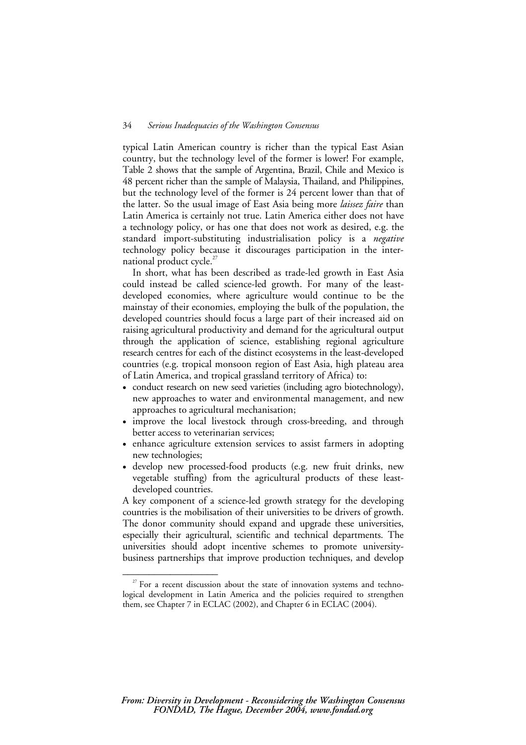typical Latin American country is richer than the typical East Asian country, but the technology level of the former is lower! For example, Table 2 shows that the sample of Argentina, Brazil, Chile and Mexico is 48 percent richer than the sample of Malaysia, Thailand, and Philippines, but the technology level of the former is 24 percent lower than that of the latter. So the usual image of East Asia being more *laissez faire* than Latin America is certainly not true. Latin America either does not have a technology policy, or has one that does not work as desired, e.g. the standard import-substituting industrialisation policy is a *negative* technology policy because it discourages participation in the international product cycle. $27$ 

In short, what has been described as trade-led growth in East Asia could instead be called science-led growth. For many of the leastdeveloped economies, where agriculture would continue to be the mainstay of their economies, employing the bulk of the population, the developed countries should focus a large part of their increased aid on raising agricultural productivity and demand for the agricultural output through the application of science, establishing regional agriculture research centres for each of the distinct ecosystems in the least-developed countries (e.g. tropical monsoon region of East Asia, high plateau area of Latin America, and tropical grassland territory of Africa) to:

- conduct research on new seed varieties (including agro biotechnology), new approaches to water and environmental management, and new approaches to agricultural mechanisation;
- improve the local livestock through cross-breeding, and through better access to veterinarian services;
- enhance agriculture extension services to assist farmers in adopting new technologies;
- develop new processed-food products (e.g. new fruit drinks, new vegetable stuffing) from the agricultural products of these leastdeveloped countries.

A key component of a science-led growth strategy for the developing countries is the mobilisation of their universities to be drivers of growth. The donor community should expand and upgrade these universities, especially their agricultural, scientific and technical departments. The universities should adopt incentive schemes to promote universitybusiness partnerships that improve production techniques, and develop

 $27$  For a recent discussion about the state of innovation systems and technological development in Latin America and the policies required to strengthen them, see Chapter 7 in ECLAC (2002), and Chapter 6 in ECLAC (2004).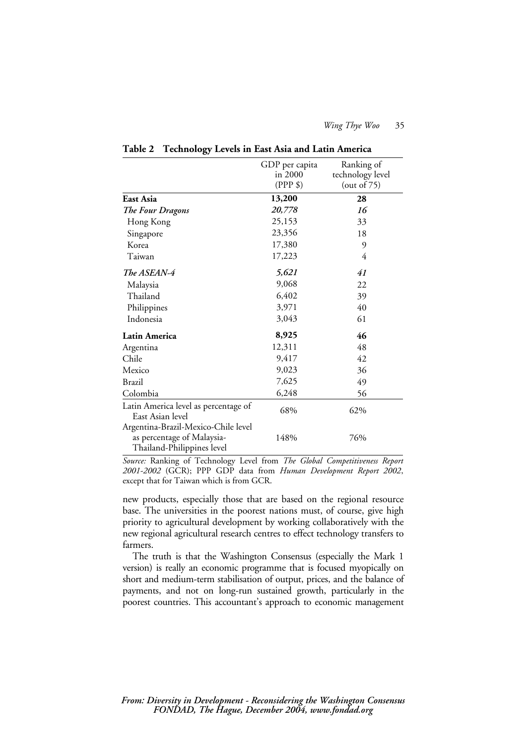|                                                                                                 | GDP per capita<br>in 2000<br>$(PPP \$ | Ranking of<br>technology level<br>(out of $75$ ) |
|-------------------------------------------------------------------------------------------------|---------------------------------------|--------------------------------------------------|
| East Asia                                                                                       | 13,200                                | 28                                               |
| The Four Dragons                                                                                | 20,778                                | 16                                               |
| Hong Kong                                                                                       | 25,153                                | 33                                               |
| Singapore                                                                                       | 23,356                                | 18                                               |
| Korea                                                                                           | 17,380                                | 9                                                |
| Taiwan                                                                                          | 17,223                                | 4                                                |
| The ASEAN-4                                                                                     | 5,621                                 | 41                                               |
| Malaysia                                                                                        | 9,068                                 | 22                                               |
| Thailand                                                                                        | 6,402                                 | 39                                               |
| Philippines                                                                                     | 3,971                                 | 40                                               |
| Indonesia                                                                                       | 3,043                                 | 61                                               |
| Latin America                                                                                   | 8,925                                 | 46                                               |
| Argentina                                                                                       | 12,311                                | 48                                               |
| Chile                                                                                           | 9,417                                 | 42                                               |
| Mexico                                                                                          | 9,023                                 | 36                                               |
| Brazil                                                                                          | 7,625                                 | 49                                               |
| Colombia                                                                                        | 6,248                                 | 56                                               |
| Latin America level as percentage of<br>East Asian level                                        | 68%                                   | 62%                                              |
| Argentina-Brazil-Mexico-Chile level<br>as percentage of Malaysia-<br>Thailand-Philippines level | 148%                                  | 76%                                              |

**Table 2 Technology Levels in East Asia and Latin America** 

*Source:* Ranking of Technology Level from *The Global Competitiveness Report 2001-2002* (GCR); PPP GDP data from *Human Development Report 2002*, except that for Taiwan which is from GCR.

new products, especially those that are based on the regional resource base. The universities in the poorest nations must, of course, give high priority to agricultural development by working collaboratively with the new regional agricultural research centres to effect technology transfers to farmers.

The truth is that the Washington Consensus (especially the Mark 1 version) is really an economic programme that is focused myopically on short and medium-term stabilisation of output, prices, and the balance of payments, and not on long-run sustained growth, particularly in the poorest countries. This accountant's approach to economic management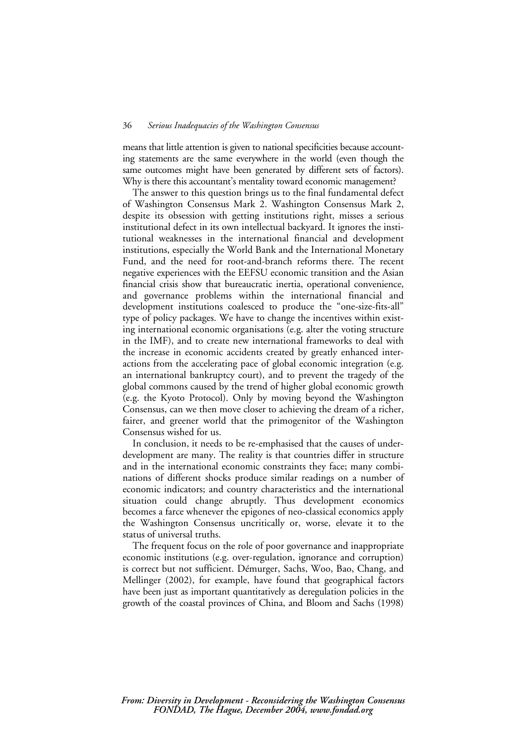means that little attention is given to national specificities because accounting statements are the same everywhere in the world (even though the same outcomes might have been generated by different sets of factors). Why is there this accountant's mentality toward economic management?

The answer to this question brings us to the final fundamental defect of Washington Consensus Mark 2. Washington Consensus Mark 2, despite its obsession with getting institutions right, misses a serious institutional defect in its own intellectual backyard. It ignores the institutional weaknesses in the international financial and development institutions, especially the World Bank and the International Monetary Fund, and the need for root-and-branch reforms there. The recent negative experiences with the EEFSU economic transition and the Asian financial crisis show that bureaucratic inertia, operational convenience, and governance problems within the international financial and development institutions coalesced to produce the "one-size-fits-all" type of policy packages. We have to change the incentives within existing international economic organisations (e.g. alter the voting structure in the IMF), and to create new international frameworks to deal with the increase in economic accidents created by greatly enhanced interactions from the accelerating pace of global economic integration (e.g. an international bankruptcy court), and to prevent the tragedy of the global commons caused by the trend of higher global economic growth (e.g. the Kyoto Protocol). Only by moving beyond the Washington Consensus, can we then move closer to achieving the dream of a richer, fairer, and greener world that the primogenitor of the Washington Consensus wished for us.

In conclusion, it needs to be re-emphasised that the causes of underdevelopment are many. The reality is that countries differ in structure and in the international economic constraints they face; many combinations of different shocks produce similar readings on a number of economic indicators; and country characteristics and the international situation could change abruptly. Thus development economics becomes a farce whenever the epigones of neo-classical economics apply the Washington Consensus uncritically or, worse, elevate it to the status of universal truths.

The frequent focus on the role of poor governance and inappropriate economic institutions (e.g. over-regulation, ignorance and corruption) is correct but not sufficient. Démurger, Sachs, Woo, Bao, Chang, and Mellinger (2002), for example, have found that geographical factors have been just as important quantitatively as deregulation policies in the growth of the coastal provinces of China, and Bloom and Sachs (1998)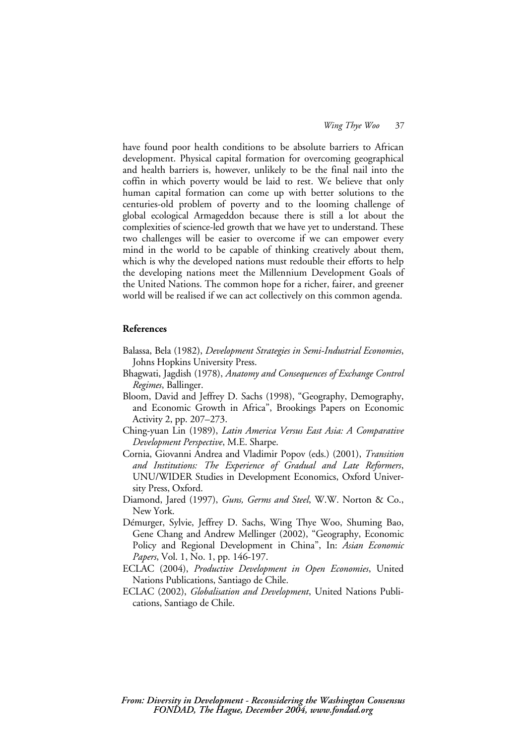have found poor health conditions to be absolute barriers to African development. Physical capital formation for overcoming geographical and health barriers is, however, unlikely to be the final nail into the coffin in which poverty would be laid to rest. We believe that only human capital formation can come up with better solutions to the centuries-old problem of poverty and to the looming challenge of global ecological Armageddon because there is still a lot about the complexities of science-led growth that we have yet to understand. These two challenges will be easier to overcome if we can empower every mind in the world to be capable of thinking creatively about them, which is why the developed nations must redouble their efforts to help the developing nations meet the Millennium Development Goals of the United Nations. The common hope for a richer, fairer, and greener world will be realised if we can act collectively on this common agenda.

#### **References**

- Balassa, Bela (1982), *Development Strategies in Semi-Industrial Economies*, Johns Hopkins University Press.
- Bhagwati, Jagdish (1978), *Anatomy and Consequences of Exchange Control Regimes*, Ballinger.
- Bloom, David and Jeffrey D. Sachs (1998), "Geography, Demography, and Economic Growth in Africa", Brookings Papers on Economic Activity 2, pp. 207–273.
- Ching-yuan Lin (1989), *Latin America Versus East Asia: A Comparative Development Perspective*, M.E. Sharpe.
- Cornia, Giovanni Andrea and Vladimir Popov (eds.) (2001), *Transition and Institutions: The Experience of Gradual and Late Reformers*, UNU/WIDER Studies in Development Economics, Oxford University Press, Oxford.
- Diamond, Jared (1997), *Guns, Germs and Steel*, W.W. Norton & Co., New York.
- Démurger, Sylvie, Jeffrey D. Sachs, Wing Thye Woo, Shuming Bao, Gene Chang and Andrew Mellinger (2002), "Geography, Economic Policy and Regional Development in China", In: *Asian Economic Papers*, Vol. 1, No. 1, pp. 146-197.
- ECLAC (2004), *Productive Development in Open Economies*, United Nations Publications, Santiago de Chile.
- ECLAC (2002), *Globalisation and Development*, United Nations Publications, Santiago de Chile.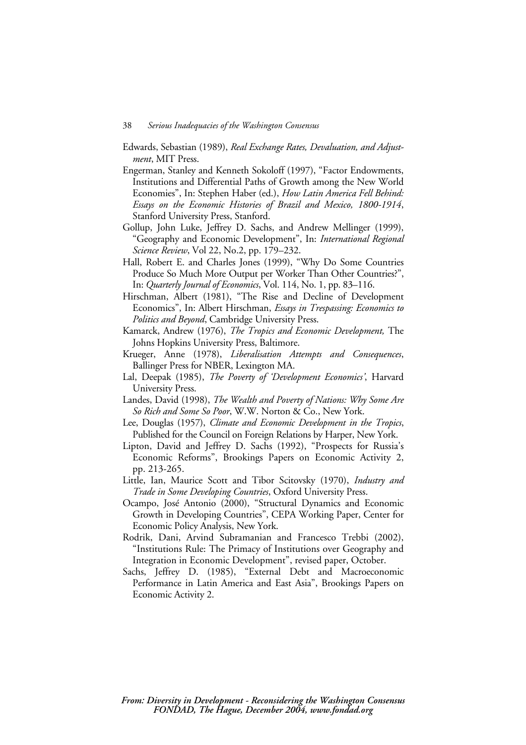- Edwards, Sebastian (1989), *Real Exchange Rates, Devaluation, and Adjustment*, MIT Press.
- Engerman, Stanley and Kenneth Sokoloff (1997), "Factor Endowments, Institutions and Differential Paths of Growth among the New World Economies", In: Stephen Haber (ed.), *How Latin America Fell Behind: Essays on the Economic Histories of Brazil and Mexico, 1800-1914*, Stanford University Press, Stanford.
- Gollup, John Luke, Jeffrey D. Sachs, and Andrew Mellinger (1999), "Geography and Economic Development", In: *International Regional Science Review*, Vol 22, No.2, pp. 179–232.
- Hall, Robert E. and Charles Jones (1999), "Why Do Some Countries Produce So Much More Output per Worker Than Other Countries?", In: *Quarterly Journal of Economics*, Vol. 114, No. 1, pp. 83–116.
- Hirschman, Albert (1981), "The Rise and Decline of Development Economics", In: Albert Hirschman, *Essays in Trespassing: Economics to Politics and Beyond*, Cambridge University Press.
- Kamarck, Andrew (1976), *The Tropics and Economic Development,* The Johns Hopkins University Press, Baltimore.
- Krueger, Anne (1978), *Liberalisation Attempts and Consequences*, Ballinger Press for NBER, Lexington MA.
- Lal, Deepak (1985), *The Poverty of 'Development Economics'*, Harvard University Press.
- Landes, David (1998), *The Wealth and Poverty of Nations: Why Some Are So Rich and Some So Poor*, W.W. Norton & Co., New York.
- Lee, Douglas (1957), *Climate and Economic Development in the Tropics*, Published for the Council on Foreign Relations by Harper, New York.
- Lipton, David and Jeffrey D. Sachs (1992), "Prospects for Russia's Economic Reforms", Brookings Papers on Economic Activity 2, pp. 213-265.
- Little, Ian, Maurice Scott and Tibor Scitovsky (1970), *Industry and Trade in Some Developing Countries*, Oxford University Press.
- Ocampo, José Antonio (2000), "Structural Dynamics and Economic Growth in Developing Countries", CEPA Working Paper, Center for Economic Policy Analysis, New York.
- Rodrik, Dani, Arvind Subramanian and Francesco Trebbi (2002), "Institutions Rule: The Primacy of Institutions over Geography and Integration in Economic Development", revised paper, October.
- Sachs, Jeffrey D. (1985), "External Debt and Macroeconomic Performance in Latin America and East Asia", Brookings Papers on Economic Activity 2.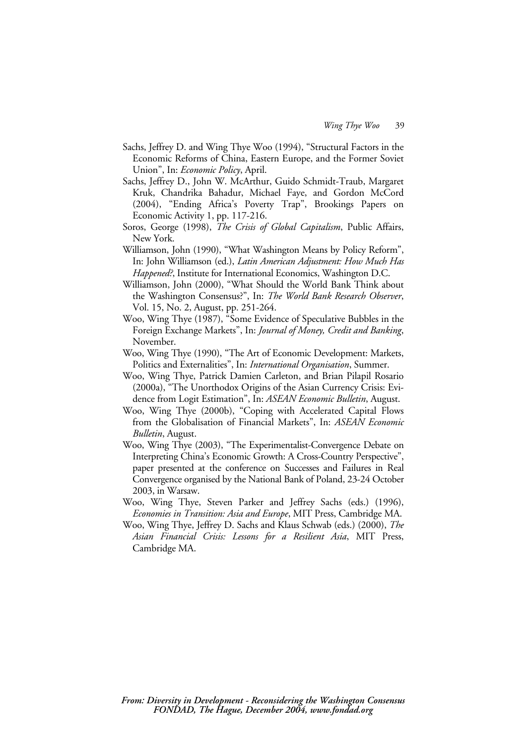- Sachs, Jeffrey D. and Wing Thye Woo (1994), "Structural Factors in the Economic Reforms of China, Eastern Europe, and the Former Soviet Union", In: *Economic Policy*, April.
- Sachs, Jeffrey D., John W. McArthur, Guido Schmidt-Traub, Margaret Kruk, Chandrika Bahadur, Michael Faye, and Gordon McCord (2004), "Ending Africa's Poverty Trap", Brookings Papers on Economic Activity 1, pp. 117-216.
- Soros, George (1998), *The Crisis of Global Capitalism*, Public Affairs, New York.
- Williamson, John (1990), "What Washington Means by Policy Reform", In: John Williamson (ed.), *Latin American Adjustment: How Much Has Happened?*, Institute for International Economics, Washington D.C.
- Williamson, John (2000), "What Should the World Bank Think about the Washington Consensus?", In: *The World Bank Research Observer*, Vol. 15, No. 2, August, pp. 251-264.
- Woo, Wing Thye (1987), "Some Evidence of Speculative Bubbles in the Foreign Exchange Markets", In: *Journal of Money, Credit and Banking*, November.
- Woo, Wing Thye (1990), "The Art of Economic Development: Markets, Politics and Externalities", In: *International Organisation*, Summer.
- Woo, Wing Thye, Patrick Damien Carleton, and Brian Pilapil Rosario (2000a), "The Unorthodox Origins of the Asian Currency Crisis: Evidence from Logit Estimation", In: *ASEAN Economic Bulletin*, August.
- Woo, Wing Thye (2000b), "Coping with Accelerated Capital Flows from the Globalisation of Financial Markets", In: *ASEAN Economic Bulletin*, August.
- Woo, Wing Thye (2003), "The Experimentalist-Convergence Debate on Interpreting China's Economic Growth: A Cross-Country Perspective", paper presented at the conference on Successes and Failures in Real Convergence organised by the National Bank of Poland, 23-24 October 2003, in Warsaw.
- Woo, Wing Thye, Steven Parker and Jeffrey Sachs (eds.) (1996), *Economies in Transition: Asia and Europe*, MIT Press, Cambridge MA.
- Woo, Wing Thye, Jeffrey D. Sachs and Klaus Schwab (eds.) (2000), *The Asian Financial Crisis: Lessons for a Resilient Asia*, MIT Press, Cambridge MA.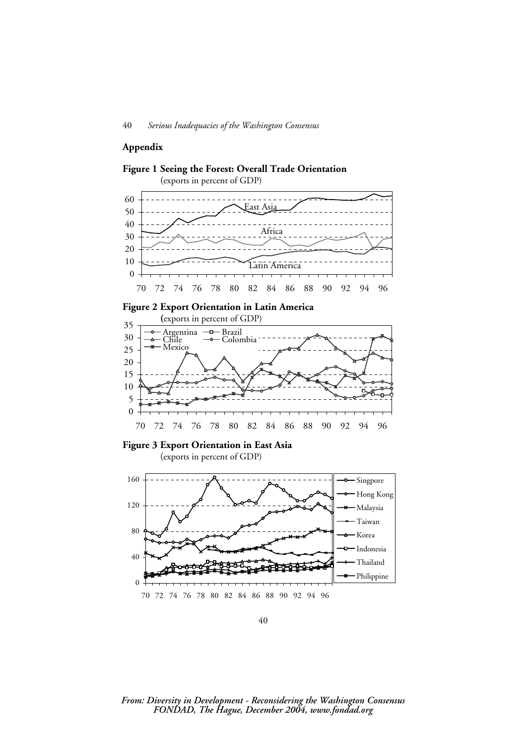40 *Serious Inadequacies of the Washington Consensus*

#### **Appendix**



40

70 72 74 76 78 80 82 84 86 88 90 92 94 96

#### *From: Diversity in Development - Reconsidering the Washington Consensus FONDAD, The Hague, December 2004, www.fondad.org*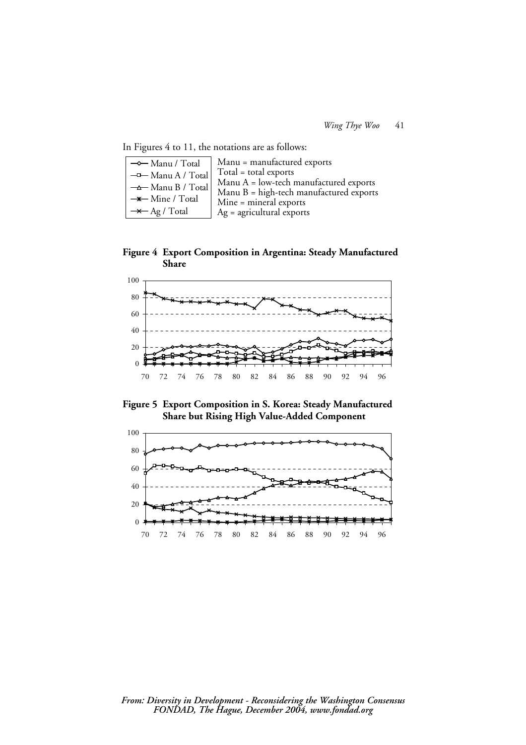In Figures 4 to 11, the notations are as follows:

| $\rightarrow$ Manu / Total   | Manu = manufactured exports                |  |  |  |  |
|------------------------------|--------------------------------------------|--|--|--|--|
| -D-Manu A / Total            | $Total = total$ exports                    |  |  |  |  |
| $\rightarrow$ Manu B / Total | Manu A = low-tech manufactured exports     |  |  |  |  |
| $\rightarrow$ Mine / Total   | Manu $B = high$ -tech manufactured exports |  |  |  |  |
|                              | Mine = mineral exports                     |  |  |  |  |
| $\rightarrow$ Ag / Total     | $Ag = agricultural$ exports                |  |  |  |  |

**Figure 4 Export Composition in Argentina: Steady Manufactured Share** 



**Figure 5 Export Composition in S. Korea: Steady Manufactured Share but Rising High Value-Added Component** 

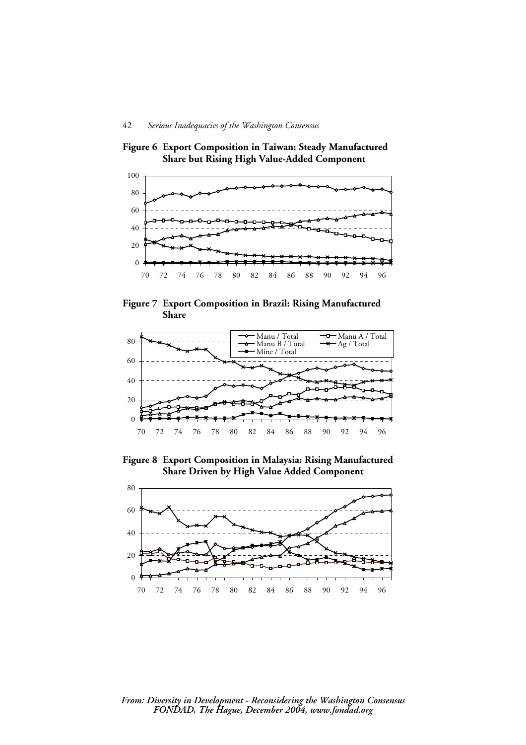**Figure 6 Export Composition in Taiwan: Steady Manufactured Share but Rising High Value-Added Component** 



**Figure 7 Export Composition in Brazil: Rising Manufactured Share** 



**Figure 8 Export Composition in Malaysia: Rising Manufactured Share Driven by High Value Added Component** 



#### *From: Diversity in Development - Reconsidering the Washington Consensus FONDAD, The Hague, December 2004, www.fondad.org*